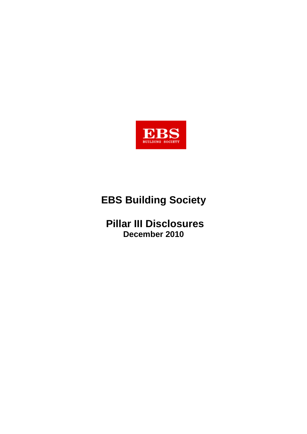

# **EBS Building Society**

## **Pillar III Disclosures December 2010**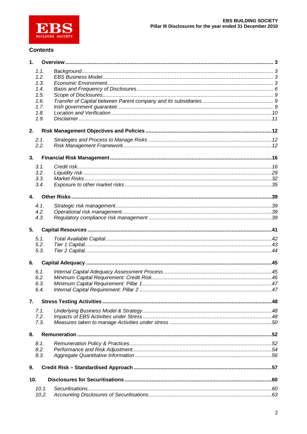

#### **Contents**

| 1.              |       |                 |  |
|-----------------|-------|-----------------|--|
|                 | 1.1.  |                 |  |
|                 | 1.2.  |                 |  |
|                 | 1.3.  |                 |  |
|                 | 1.4.  |                 |  |
|                 | 1.5.  |                 |  |
|                 | 1.6.  |                 |  |
|                 | 1.7.  |                 |  |
|                 | 1.8.  |                 |  |
|                 | 1.9.  |                 |  |
| 2.              |       |                 |  |
|                 | 2.1.  |                 |  |
|                 | 2.2.  |                 |  |
| 3.              |       |                 |  |
|                 |       |                 |  |
|                 | 3.1.  |                 |  |
|                 | 3.2.  |                 |  |
|                 | 3.3.  |                 |  |
|                 | 3.4.  |                 |  |
| 4.              |       |                 |  |
|                 | 4.1.  |                 |  |
|                 | 4.2.  |                 |  |
|                 | 4.3.  |                 |  |
|                 |       |                 |  |
| 5.              |       |                 |  |
|                 | 5.1.  |                 |  |
|                 | 5.2.  |                 |  |
|                 | 5.3.  |                 |  |
| 6.              |       |                 |  |
|                 | 6.1.  |                 |  |
|                 | 6.2.  |                 |  |
|                 | 6.3.  |                 |  |
|                 | 6.4.  |                 |  |
|                 |       |                 |  |
| 7.              |       |                 |  |
|                 | 7.1.  |                 |  |
|                 | 7.2.  |                 |  |
|                 | 7.3.  |                 |  |
| 8.              |       |                 |  |
|                 | 8.1.  |                 |  |
|                 | 8.2.  |                 |  |
|                 | 8.3.  |                 |  |
|                 |       |                 |  |
| 9.              |       |                 |  |
| 10 <sub>1</sub> |       |                 |  |
|                 | 10.1. | Securitisations |  |
|                 | 10.2. |                 |  |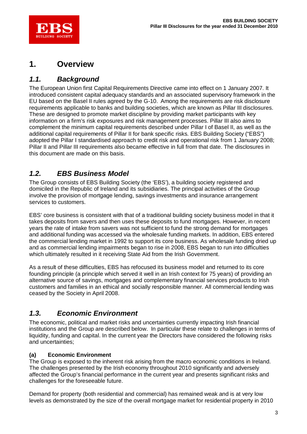

## **1. Overview**

### *1.1. Background*

The European Union first Capital Requirements Directive came into effect on 1 January 2007. It introduced consistent capital adequacy standards and an associated supervisory framework in the EU based on the Basel II rules agreed by the G-10. Among the requirements are risk disclosure requirements applicable to banks and building societies, which are known as Pillar III disclosures. These are designed to promote market discipline by providing market participants with key information on a firm's risk exposures and risk management processes. Pillar III also aims to complement the minimum capital requirements described under Pillar I of Basel II, as well as the additional capital requirements of Pillar II for bank specific risks. EBS Building Society ("EBS") adopted the Pillar I standardised approach to credit risk and operational risk from 1 January 2008; Pillar II and Pillar III requirements also became effective in full from that date. The disclosures in this document are made on this basis.

### *1.2. EBS Business Model*

The Group consists of EBS Building Society (the 'EBS'), a building society registered and domiciled in the Republic of Ireland and its subsidiaries. The principal activities of the Group involve the provision of mortgage lending, savings investments and insurance arrangement services to customers.

EBS' core business is consistent with that of a traditional building society business model in that it takes deposits from savers and then uses these deposits to fund mortgages. However, in recent years the rate of intake from savers was not sufficient to fund the strong demand for mortgages and additional funding was accessed via the wholesale funding markets. In addition, EBS entered the commercial lending market in 1992 to support its core business. As wholesale funding dried up and as commercial lending impairments began to rise in 2008, EBS began to run into difficulties which ultimately resulted in it receiving State Aid from the Irish Government.

As a result of these difficulties, EBS has refocused its business model and returned to its core founding principle (a principle which served it well in an Irish context for 75 years) of providing an alternative source of savings, mortgages and complementary financial services products to Irish customers and families in an ethical and socially responsible manner. All commercial lending was ceased by the Society in April 2008.

### *1.3. Economic Environment*

The economic, political and market risks and uncertainties currently impacting Irish financial institutions and the Group are described below. In particular these relate to challenges in terms of liquidity, funding and capital. In the current year the Directors have considered the following risks and uncertainties;

### **(a) Economic Environment**

The Group is exposed to the inherent risk arising from the macro economic conditions in Ireland. The challenges presented by the Irish economy throughout 2010 significantly and adversely affected the Group's financial performance in the current year and presents significant risks and challenges for the foreseeable future.

Demand for property (both residential and commercial) has remained weak and is at very low levels as demonstrated by the size of the overall mortgage market for residential property in 2010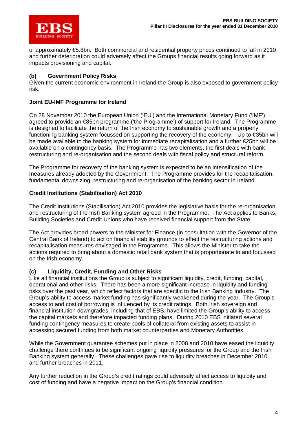of approximately €5.8bn. Both commercial and residential property prices continued to fall in 2010 and further deterioration could adversely affect the Groups financial results going forward as it impacts provisioning and capital.

### **(b) Government Policy Risks**

Given the current economic environment in Ireland the Group is also exposed to government policy risk.

### **Joint EU-IMF Programme for Ireland**

On 28 November 2010 the European Union ('EU') and the International Monetary Fund ('IMF') agreed to provide an €85bn programme ('the Programme') of support for Ireland. The Programme is designed to facilitate the return of the Irish economy to sustainable growth and a properly functioning banking system focussed on supporting the recovery of the economy. Up to €35bn will be made available to the banking system for immediate recapitalisation and a further €25bn will be available on a contingency basis. The Programme has two elements, the first deals with bank restructuring and re-organisation and the second deals with fiscal policy and structural reform.

The Programme for recovery of the banking system is expected to be an intensification of the measures already adopted by the Government. The Programme provides for the recapitalisation, fundamental downsizing, restructuring and re-organisation of the banking sector in Ireland.

#### **Credit Institutions (Stabilisation) Act 2010**

The Credit Institutions (Stabilisation) Act 2010 provides the legislative basis for the re-organisation and restructuring of the Irish Banking system agreed in the Programme. The Act applies to Banks, Building Societies and Credit Unions who have received financial support from the State.

The Act provides broad powers to the Minister for Finance (in consultation with the Governor of the Central Bank of Ireland) to act on financial stability grounds to effect the restructuring actions and recapitalisation measures envisaged in the Programme. This allows the Minister to take the actions required to bring about a domestic retail bank system that is proportionate to and focussed on the Irish economy.

#### **(c) Liquidity, Credit, Funding and Other Risks**

Like all financial institutions the Group is subject to significant liquidity, credit, funding, capital, operational and other risks. There has been a more significant increase in liquidity and funding risks over the past year, which reflect factors that are specific to the Irish Banking Industry. The Group's ability to access market funding has significantly weakened during the year. The Group's access to and cost of borrowing is influenced by its credit ratings. Both Irish sovereign and financial institution downgrades, including that of EBS, have limited the Group's ability to access the capital markets and therefore impacted funding plans. During 2010 EBS initiated several funding contingency measures to create pools of collateral from existing assets to assist in accessing secured funding from both market counterparties and Monetary Authorities.

While the Government guarantee schemes put in place in 2008 and 2010 have eased the liquidity challenge there continues to be significant ongoing liquidity pressures for the Group and the Irish Banking system generally. These challenges gave rise to liquidity breaches in December 2010 and further breaches in 2011.

Any further reduction in the Group's credit ratings could adversely affect access to liquidity and cost of funding and have a negative impact on the Group's financial condition.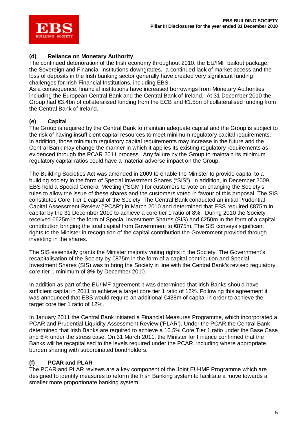

### **(d) Reliance on Monetary Authority**

The continued deterioration of the Irish economy throughout 2010, the EU/IMF bailout package, the Sovereign and Financial Institutions downgrades, a continued lack of market access and the loss of deposits in the Irish banking sector generally have created very significant funding challenges for Irish Financial Institutions, including EBS.

As a consequence, financial institutions have increased borrowings from Monetary Authorities including the European Central Bank and the Central Bank of Ireland. At 31 December 2010 the Group had €3.4bn of collateralised funding from the ECB and €1.5bn of collateralised funding from the Central Bank of Ireland.

### **(e) Capital**

The Group is required by the Central Bank to maintain adequate capital and the Group is subject to the risk of having insufficient capital resources to meet minimum regulatory capital requirements. In addition, those minimum regulatory capital requirements may increase in the future and the Central Bank may change the manner in which it applies its existing regulatory requirements as evidenced through the PCAR 2011 process. Any failure by the Group to maintain its minimum regulatory capital ratios could have a material adverse impact on the Group.

The Building Societies Act was amended in 2009 to enable the Minister to provide capital to a building society in the form of Special Investment Shares ("SIS"). In addition, in December 2009, EBS held a Special General Meeting ("SGM") for customers to vote on changing the Society's rules to allow the issue of these shares and the customers voted in favour of this proposal. The SIS constitutes Core Tier 1 capital of the Society. The Central Bank conducted an initial Prudential Capital Assessment Review ('PCAR') in March 2010 and determined that EBS required €875m in capital by the 31 December 2010 to achieve a core tier 1 ratio of 8%. During 2010 the Society received €625m in the form of Special Investment Shares (SIS) and €250m in the form of a capital contribution bringing the total capital from Government to €875m. The SIS conveys significant rights to the Minister in recognition of the capital contribution the Government provided through investing in the shares.

The SIS essentially grants the Minister majority voting rights in the Society. The Government's recapitalisation of the Society by €875m in the form of a capital contribution and Special Investment Shares (SIS) was to bring the Society in line with the Central Bank's revised regulatory core tier 1 minimum of 8% by December 2010.

In addition as part of the EU/IMF agreement it was determined that Irish Banks should have sufficient capital in 2011 to achieve a target core tier 1 ratio of 12%. Following this agreement it was announced that EBS would require an additional €438m of capital in order to achieve the target core tier 1 ratio of 12%.

In January 2011 the Central Bank initiated a Financial Measures Programme, which incorporated a PCAR and Prudential Liquidity Assessment Review ('PLAR'). Under the PCAR the Central Bank determined that Irish Banks are required to achieve a 10.5% Core Tier 1 ratio under the Base Case and 6% under the stress case. On 31 March 2011, the Minister for Finance confirmed that the Banks will be recapitalised to the levels required under the PCAR, including where appropriate burden sharing with subordinated bondholders.

### **(f) PCAR and PLAR**

The PCAR and PLAR reviews are a key component of the Joint EU-IMF Programme which are designed to identify measures to reform the Irish Banking system to facilitate a move towards a smaller more proportionate banking system.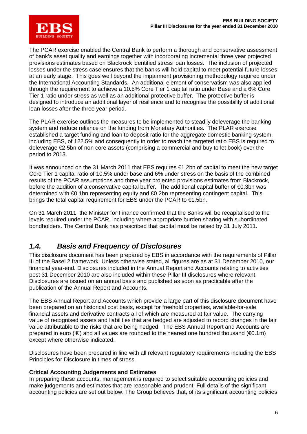

The PCAR exercise enabled the Central Bank to perform a thorough and conservative assessment of bank's asset quality and earnings together with incorporating incremental three year projected provisions estimates based on Blackrock identified stress loan losses. The inclusion of projected losses under the stress case ensures that the banks will hold capital to meet potential future losses at an early stage. This goes well beyond the impairment provisioning methodology required under the International Accounting Standards. An additional element of conservatism was also applied through the requirement to achieve a 10.5% Core Tier 1 capital ratio under Base and a 6% Core Tier 1 ratio under stress as well as an additional protective buffer. The protective buffer is designed to introduce an additional layer of resilience and to recognise the possibility of additional loan losses after the three year period.

The PLAR exercise outlines the measures to be implemented to steadily deleverage the banking system and reduce reliance on the funding from Monetary Authorities. The PLAR exercise established a target funding and loan to deposit ratio for the aggregate domestic banking system, including EBS, of 122.5% and consequently in order to reach the targeted ratio EBS is required to deleverage €2.5bn of non core assets (comprising a commercial and buy to let book) over the period to 2013.

It was announced on the 31 March 2011 that EBS requires €1.2bn of capital to meet the new target Core Tier 1 capital ratio of 10.5% under base and 6% under stress on the basis of the combined results of the PCAR assumptions and three year projected provisions estimates from Blackrock, before the addition of a conservative capital buffer. The additional capital buffer of €0.3bn was determined with €0.1bn representing equity and €0.2bn representing contingent capital. This brings the total capital requirement for EBS under the PCAR to €1.5bn.

On 31 March 2011, the Minister for Finance confirmed that the Banks will be recapitalised to the levels required under the PCAR, including where appropriate burden sharing with subordinated bondholders. The Central Bank has prescribed that capital must be raised by 31 July 2011.

### *1.4. Basis and Frequency of Disclosures*

This disclosure document has been prepared by EBS in accordance with the requirements of Pillar III of the Basel 2 framework. Unless otherwise stated, all figures are as at 31 December 2010, our financial year-end. Disclosures included in the Annual Report and Accounts relating to activities post 31 December 2010 are also included within these Pillar III disclosures where relevant. Disclosures are issued on an annual basis and published as soon as practicable after the publication of the Annual Report and Accounts.

The EBS Annual Report and Accounts which provide a large part of this disclosure document have been prepared on an historical cost basis, except for freehold properties, available-for-sale financial assets and derivative contracts all of which are measured at fair value. The carrying value of recognised assets and liabilities that are hedged are adjusted to record changes in the fair value attributable to the risks that are being hedged. The EBS Annual Report and Accounts are prepared in euro (' $\in$ ) and all values are rounded to the nearest one hundred thousand ( $\infty$ .1m) except where otherwise indicated.

Disclosures have been prepared in line with all relevant regulatory requirements including the EBS Principles for Disclosure in times of stress.

#### **Critical Accounting Judgements and Estimates**

In preparing these accounts, management is required to select suitable accounting policies and make judgements and estimates that are reasonable and prudent. Full details of the significant accounting policies are set out below. The Group believes that, of its significant accounting policies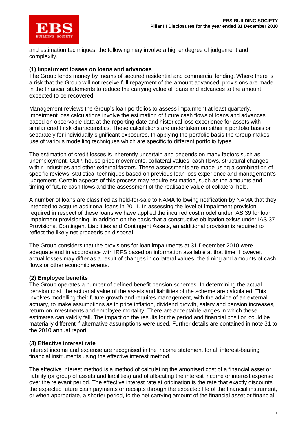

and estimation techniques, the following may involve a higher degree of judgement and complexity.

#### **(1) Impairment losses on loans and advances**

The Group lends money by means of secured residential and commercial lending. Where there is a risk that the Group will not receive full repayment of the amount advanced, provisions are made in the financial statements to reduce the carrying value of loans and advances to the amount expected to be recovered.

Management reviews the Group's loan portfolios to assess impairment at least quarterly. Impairment loss calculations involve the estimation of future cash flows of loans and advances based on observable data at the reporting date and historical loss experience for assets with similar credit risk characteristics. These calculations are undertaken on either a portfolio basis or separately for individually significant exposures. In applying the portfolio basis the Group makes use of various modelling techniques which are specific to different portfolio types.

The estimation of credit losses is inherently uncertain and depends on many factors such as unemployment, GDP, house price movements, collateral values, cash flows, structural changes within industries and other external factors. These assessments are made using a combination of specific reviews, statistical techniques based on previous loan loss experience and management's judgement. Certain aspects of this process may require estimation, such as the amounts and timing of future cash flows and the assessment of the realisable value of collateral held.

A number of loans are classified as held-for-sale to NAMA following notification by NAMA that they intended to acquire additional loans in 2011. In assessing the level of impairment provision required in respect of these loans we have applied the incurred cost model under IAS 39 for loan impairment provisioning. In addition on the basis that a constructive obligation exists under IAS 37 Provisions, Contingent Liabilities and Contingent Assets, an additional provision is required to reflect the likely net proceeds on disposal.

The Group considers that the provisions for loan impairments at 31 December 2010 were adequate and in accordance with IRFS based on information available at that time. However, actual losses may differ as a result of changes in collateral values, the timing and amounts of cash flows or other economic events.

#### **(2) Employee benefits**

The Group operates a number of defined benefit pension schemes. In determining the actual pension cost, the actuarial value of the assets and liabilities of the scheme are calculated. This involves modelling their future growth and requires management, with the advice of an external actuary, to make assumptions as to price inflation, dividend growth, salary and pension increases, return on investments and employee mortality. There are acceptable ranges in which these estimates can validly fall. The impact on the results for the period and financial position could be materially different if alternative assumptions were used. Further details are contained in note 31 to the 2010 annual report.

#### **(3) Effective interest rate**

Interest income and expense are recognised in the income statement for all interest-bearing financial instruments using the effective interest method.

The effective interest method is a method of calculating the amortised cost of a financial asset or liability (or group of assets and liabilities) and of allocating the interest income or interest expense over the relevant period. The effective interest rate at origination is the rate that exactly discounts the expected future cash payments or receipts through the expected life of the financial instrument, or when appropriate, a shorter period, to the net carrying amount of the financial asset or financial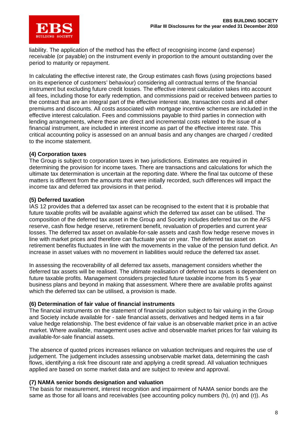

liability. The application of the method has the effect of recognising income (and expense) receivable (or payable) on the instrument evenly in proportion to the amount outstanding over the period to maturity or repayment.

In calculating the effective interest rate, the Group estimates cash flows (using projections based on its experience of customers' behaviour) considering all contractual terms of the financial instrument but excluding future credit losses. The effective interest calculation takes into account all fees, including those for early redemption, and commissions paid or received between parties to the contract that are an integral part of the effective interest rate, transaction costs and all other premiums and discounts. All costs associated with mortgage incentive schemes are included in the effective interest calculation. Fees and commissions payable to third parties in connection with lending arrangements, where these are direct and incremental costs related to the issue of a financial instrument, are included in interest income as part of the effective interest rate. This critical accounting policy is assessed on an annual basis and any changes are charged / credited to the income statement.

#### **(4) Corporation taxes**

The Group is subject to corporation taxes in two jurisdictions. Estimates are required in determining the provision for income taxes. There are transactions and calculations for which the ultimate tax determination is uncertain at the reporting date. Where the final tax outcome of these matters is different from the amounts that were initially recorded, such differences will impact the income tax and deferred tax provisions in that period.

#### **(5) Deferred taxation**

IAS 12 provides that a deferred tax asset can be recognised to the extent that it is probable that future taxable profits will be available against which the deferred tax asset can be utilised. The composition of the deferred tax asset in the Group and Society includes deferred tax on the AFS reserve, cash flow hedge reserve, retirement benefit, revaluation of properties and current year losses. The deferred tax asset on available-for-sale assets and cash flow hedge reserve moves in line with market prices and therefore can fluctuate year on year. The deferred tax asset on retirement benefits fluctuates in line with the movements in the value of the pension fund deficit. An increase in asset values with no movement in liabilities would reduce the deferred tax asset.

In assessing the recoverability of all deferred tax assets, management considers whether the deferred tax assets will be realised. The ultimate realisation of deferred tax assets is dependent on future taxable profits. Management considers projected future taxable income from its 5 year business plans and beyond in making that assessment. Where there are available profits against which the deferred tax can be utilised, a provision is made.

#### **(6) Determination of fair value of financial instruments**

The financial instruments on the statement of financial position subject to fair valuing in the Group and Society include available for - sale financial assets, derivatives and hedged items in a fair value hedge relationship. The best evidence of fair value is an observable market price in an active market. Where available, management uses active and observable market prices for fair valuing its available-for-sale financial assets.

The absence of quoted prices increases reliance on valuation techniques and requires the use of judgement. The judgement includes assessing unobservable market data, determining the cash flows, identifying a risk free discount rate and applying a credit spread. All valuation techniques applied are based on some market data and are subject to review and approval.

#### **(7) NAMA senior bonds designation and valuation**

The basis for measurement, interest recognition and impairment of NAMA senior bonds are the same as those for all loans and receivables (see accounting policy numbers (h), (n) and (r)). As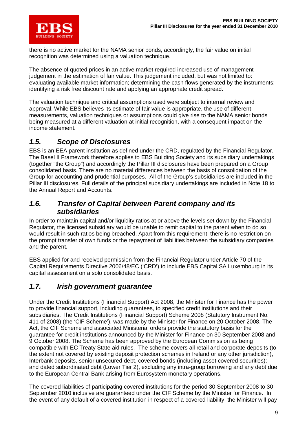

there is no active market for the NAMA senior bonds, accordingly, the fair value on initial recognition was determined using a valuation technique.

The absence of quoted prices in an active market required increased use of management judgement in the estimation of fair value. This judgement included, but was not limited to: evaluating available market information; determining the cash flows generated by the instruments; identifying a risk free discount rate and applying an appropriate credit spread.

The valuation technique and critical assumptions used were subject to internal review and approval. While EBS believes its estimate of fair value is appropriate, the use of different measurements, valuation techniques or assumptions could give rise to the NAMA senior bonds being measured at a different valuation at initial recognition, with a consequent impact on the income statement.

### *1.5. Scope of Disclosures*

EBS is an EEA parent institution as defined under the CRD, regulated by the Financial Regulator. The Basel II Framework therefore applies to EBS Building Society and its subsidiary undertakings (together "the Group") and accordingly the Pillar III disclosures have been prepared on a Group consolidated basis. There are no material differences between the basis of consolidation of the Group for accounting and prudential purposes. All of the Group's subsidiaries are included in the Pillar III disclosures. Full details of the principal subsidiary undertakings are included in Note 18 to the Annual Report and Accounts.

### *1.6. Transfer of Capital between Parent company and its subsidiaries*

In order to maintain capital and/or liquidity ratios at or above the levels set down by the Financial Regulator, the licensed subsidiary would be unable to remit capital to the parent when to do so would result in such ratios being breached. Apart from this requirement, there is no restriction on the prompt transfer of own funds or the repayment of liabilities between the subsidiary companies and the parent.

EBS applied for and received permission from the Financial Regulator under Article 70 of the Capital Requirements Directive 2006/48/EC ('CRD') to include EBS Capital SA Luxembourg in its capital assessment on a solo consolidated basis.

### *1.7. Irish government guarantee*

Under the Credit Institutions (Financial Support) Act 2008, the Minister for Finance has the power to provide financial support, including guarantees, to specified credit institutions and their subsidiaries. The Credit Institutions (Financial Support) Scheme 2008 (Statutory Instrument No. 411 of 2008) (the 'CIF Scheme'), was made by the Minister for Finance on 20 October 2008. The Act, the CIF Scheme and associated Ministerial orders provide the statutory basis for the guarantee for credit institutions announced by the Minister for Finance on 30 September 2008 and 9 October 2008. The Scheme has been approved by the European Commission as being compatible with EC Treaty State aid rules. The scheme covers all retail and corporate deposits (to the extent not covered by existing deposit protection schemes in Ireland or any other jurisdiction), Interbank deposits, senior unsecured debt, covered bonds (including asset covered securities); and dated subordinated debt (Lower Tier 2), excluding any intra-group borrowing and any debt due to the European Central Bank arising from Eurosystem monetary operations.

The covered liabilities of participating covered institutions for the period 30 September 2008 to 30 September 2010 inclusive are guaranteed under the CIF Scheme by the Minister for Finance. In the event of any default of a covered institution in respect of a covered liability, the Minister will pay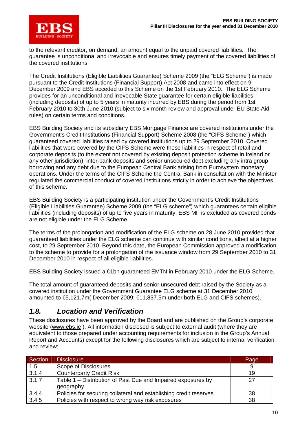

to the relevant creditor, on demand, an amount equal to the unpaid covered liabilities. The guarantee is unconditional and irrevocable and ensures timely payment of the covered liabilities of the covered institutions.

The Credit Institutions (Eligible Liabilities Guarantee) Scheme 2009 (the "ELG Scheme") is made pursuant to the Credit Institutions (Financial Support) Act 2008 and came into effect on 9 December 2009 and EBS acceded to this Scheme on the 1st February 2010. The ELG Scheme provides for an unconditional and irrevocable State guarantee for certain eligible liabilities (including deposits) of up to 5 years in maturity incurred by EBS during the period from 1st February 2010 to 30th June 2010 (subject to six month review and approval under EU State Aid rules) on certain terms and conditions.

EBS Building Society and its subsidiary EBS Mortgage Finance are covered institutions under the Government's Credit Institutions (Financial Support) Scheme 2008 (the "CIFS Scheme") which guaranteed covered liabilities raised by covered institutions up to 29 September 2010. Covered liabilities that were covered by the CIFS Scheme were those liabilities in respect of retail and corporate deposits (to the extent not covered by existing deposit protection scheme in Ireland or any other jurisdiction), inter-bank deposits and senior unsecured debt excluding any intra group borrowing and any debt due to the European Central Bank arising from Eurosystem monetary operations. Under the terms of the CIFS Scheme the Central Bank in consultation with the Minister regulated the commercial conduct of covered institutions strictly in order to achieve the objectives of this scheme.

EBS Building Society is a participating institution under the Government's Credit Institutions (Eligible Liabilities Guarantee) Scheme 2009 (the "ELG scheme") which guarantees certain eligible liabilities (including deposits) of up to five years in maturity, EBS MF is excluded as covered bonds are not eligible under the ELG Scheme.

The terms of the prolongation and modification of the ELG scheme on 28 June 2010 provided that guaranteed liabilities under the ELG scheme can continue with similar conditions, albeit at a higher cost, to 29 September 2010. Beyond this date, the European Commission approved a modification to the scheme to provide for a prolongation of the issuance window from 29 September 2010 to 31 December 2010 in respect of all eligible liabilities.

EBS Building Society issued a €1bn guaranteed EMTN in February 2010 under the ELG Scheme.

The total amount of guaranteed deposits and senior unsecured debt raised by the Society as a covered institution under the Government Guarantee ELG scheme at 31 December 2010 amounted to €5,121.7m( December 2009: €11,837.5m under both ELG and CIFS schemes).

### *1.8. Location and Verification*

These disclosures have been approved by the Board and are published on the Group's corporate website (www.ebs.ie ). All information disclosed is subject to external audit (where they are equivalent to those prepared under accounting requirements for inclusion in the Group's Annual Report and Accounts) except for the following disclosures which are subject to internal verification and review:

| Section | <b>Disclosure</b>                                                 | Page |
|---------|-------------------------------------------------------------------|------|
| 1.5     | Scope of Disclosures                                              | 9    |
| 3.1.4   | <b>Counterparty Credit Risk</b>                                   | 19   |
| 3.1.7   | Table 1 - Distribution of Past Due and Impaired exposures by      | 27   |
|         | geography                                                         |      |
| 3.4.4.  | Policies for securing collateral and establishing credit reserves | 38   |
| 3.4.5   | Policies with respect to wrong way risk exposures                 | 38   |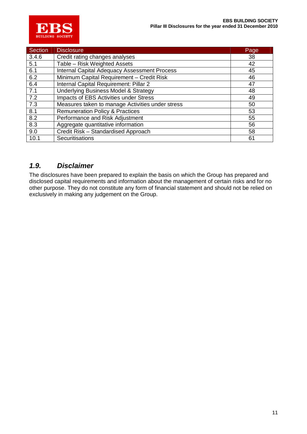

| Section | <b>Disclosure</b>                                   | Page |
|---------|-----------------------------------------------------|------|
| 3.4.6   | Credit rating changes analyses                      | 38   |
| 5.1     | Table - Risk Weighted Assets                        | 42   |
| 6.1     | <b>Internal Capital Adequacy Assessment Process</b> | 45   |
| 6.2     | Minimum Capital Requirement - Credit Risk           | 46   |
| 6.4     | Internal Capital Requirement: Pillar 2              | 47   |
| 7.1     | <b>Underlying Business Model &amp; Strategy</b>     | 48   |
| 7.2     | Impacts of EBS Activities under Stress              | 49   |
| 7.3     | Measures taken to manage Activities under stress    | 50   |
| 8.1     | <b>Remuneration Policy &amp; Practices</b>          | 53   |
| 8.2     | Performance and Risk Adjustment                     | 55   |
| 8.3     | Aggregate quantitative information                  | 56   |
| 9.0     | Credit Risk - Standardised Approach                 | 58   |
| 10.1    | Securitisations                                     | 61   |

### *1.9. Disclaimer*

The disclosures have been prepared to explain the basis on which the Group has prepared and disclosed capital requirements and information about the management of certain risks and for no other purpose. They do not constitute any form of financial statement and should not be relied on exclusively in making any judgement on the Group.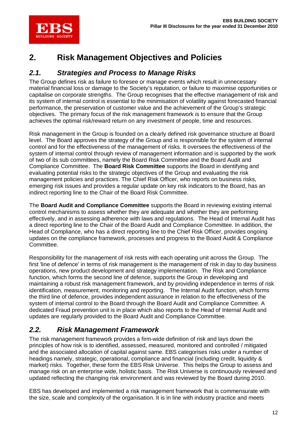

## **2. Risk Management Objectives and Policies**

### *2.1. Strategies and Process to Manage Risks*

The Group defines risk as failure to foresee or manage events which result in unnecessary material financial loss or damage to the Society's reputation, or failure to maximise opportunities or capitalise on corporate strengths. The Group recognises that the effective management of risk and its system of internal control is essential to the minimisation of volatility against forecasted financial performance, the preservation of customer value and the achievement of the Group's strategic objectives. The primary focus of the risk management framework is to ensure that the Group achieves the optimal risk/reward return on any investment of people, time and resources.

Risk management in the Group is founded on a clearly defined risk governance structure at Board level. The Board approves the strategy of the Group and is responsible for the system of internal control and for the effectiveness of the management of risks. It oversees the effectiveness of the system of internal control through review of management information and is supported by the work of two of its sub committees, namely the Board Risk Committee and the Board Audit and Compliance Committee. The **Board Risk Committee** supports the Board in identifying and evaluating potential risks to the strategic objectives of the Group and evaluating the risk management policies and practices. The Chief Risk Officer, who reports on business risks, emerging risk issues and provides a regular update on key risk indicators to the Board, has an indirect reporting line to the Chair of the Board Risk Committee.

The **Board Audit and Compliance Committee** supports the Board in reviewing existing internal control mechanisms to assess whether they are adequate and whether they are performing effectively, and in assessing adherence with laws and regulations. The Head of Internal Audit has a direct reporting line to the Chair of the Board Audit and Compliance Committee. In addition, the Head of Compliance, who has a direct reporting line to the Chief Risk Officer, provides ongoing updates on the compliance framework, processes and progress to the Board Audit & Compliance Committee.

Responsibility for the management of risk rests with each operating unit across the Group. The first 'line of defence' in terms of risk management is the management of risk in day to day business operations, new product development and strategy implementation. The Risk and Compliance function, which forms the second line of defence, supports the Group in developing and maintaining a robust risk management framework, and by providing independence in terms of risk identification, measurement, monitoring and reporting. The Internal Audit function, which forms the third line of defence, provides independent assurance in relation to the effectiveness of the system of internal control to the Board through the Board Audit and Compliance Committee. A dedicated Fraud prevention unit is in place which also reports to the Head of Internal Audit and updates are regularly provided to the Board Audit and Compliance Committee.

### *2.2. Risk Management Framework*

The risk management framework provides a firm-wide definition of risk and lays down the principles of how risk is to identified, assessed, measured, monitored and controlled / mitigated and the associated allocation of capital against same. EBS categorises risks under a number of headings namely, strategic, operational, compliance and financial (including credit, liquidity & market) risks. Together, these form the EBS Risk Universe. This helps the Group to assess and manage risk on an enterprise wide, holistic basis. The Risk Universe is continuously reviewed and updated reflecting the changing risk environment and was reviewed by the Board during 2010.

EBS has developed and implemented a risk management framework that is commensurate with the size, scale and complexity of the organisation. It is in line with industry practice and meets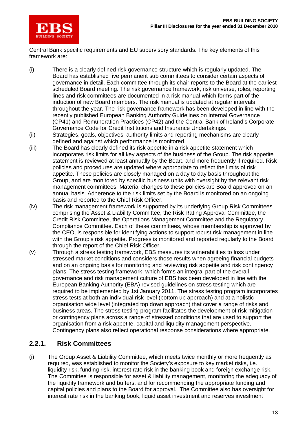

Central Bank specific requirements and EU supervisory standards. The key elements of this framework are:

- (i) There is a clearly defined risk governance structure which is regularly updated. The Board has established five permanent sub committees to consider certain aspects of governance in detail. Each committee through its chair reports to the Board at the earliest scheduled Board meeting. The risk governance framework, risk universe, roles, reporting lines and risk committees are documented in a risk manual which forms part of the induction of new Board members. The risk manual is updated at regular intervals throughout the year. The risk governance framework has been developed in line with the recently published European Banking Authority Guidelines on Internal Governance (CP41) and Remuneration Practices (CP42) and the Central Bank of Ireland's Corporate Governance Code for Credit Institutions and Insurance Undertakings.
- (ii) Strategies, goals, objectives, authority limits and reporting mechanisms are clearly defined and against which performance is monitored.
- (iii) The Board has clearly defined its risk appetite in a risk appetite statement which incorporates risk limits for all key aspects of the business of the Group. The risk appetite statement is reviewed at least annually by the Board and more frequently if required. Risk policies and procedures are updated where appropriate to reflect the limits of risk appetite. These policies are closely managed on a day to day basis throughout the Group, and are monitored by specific business units with oversight by the relevant risk management committees. Material changes to these policies are Board approved on an annual basis. Adherence to the risk limits set by the Board is monitored on an ongoing basis and reported to the Chief Risk Officer.
- (iv) The risk management framework is supported by its underlying Group Risk Committees comprising the Asset & Liability Committee, the Risk Rating Approval Committee, the Credit Risk Committee, the Operations Management Committee and the Regulatory Compliance Committee. Each of these committees, whose membership is approved by the CEO, is responsible for identifying actions to support robust risk management in line with the Group's risk appetite. Progress is monitored and reported regularly to the Board through the report of the Chief Risk Officer.
- (v) Through a stress testing framework, EBS measures its vulnerabilities to loss under stressed market conditions and considers those results when agreeing financial budgets and on an ongoing basis for monitoring and reviewing risk appetite and risk contingency plans. The stress testing framework, which forms an integral part of the overall governance and risk management culture of EBS has been developed in line with the European Banking Authority (EBA) revised guidelines on stress testing which are required to be implemented by 1st January 2011. The stress testing program incorporates stress tests at both an individual risk level (bottom up approach) and at a holistic organisation wide level (integrated top down approach) that cover a range of risks and business areas. The stress testing program facilitates the development of risk mitigation or contingency plans across a range of stressed conditions that are used to support the organisation from a risk appetite, capital and liquidity management perspective. Contingency plans also reflect operational response considerations where appropriate.

### **2.2.1. Risk Committees**

(i) The Group Asset & Liability Committee, which meets twice monthly or more frequently as required, was established to monitor the Society's exposure to key market risks, i.e., liquidity risk, funding risk, interest rate risk in the banking book and foreign exchange risk. The Committee is responsible for asset & liability management, monitoring the adequacy of the liquidity framework and buffers, and for recommending the appropriate funding and capital policies and plans to the Board for approval. The Committee also has oversight for interest rate risk in the banking book, liquid asset investment and reserves investment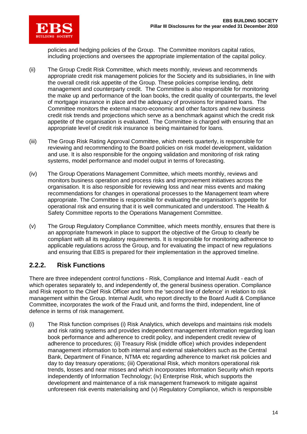

policies and hedging policies of the Group. The Committee monitors capital ratios, including projections and oversees the appropriate implementation of the capital policy.

- (ii) The Group Credit Risk Committee, which meets monthly, reviews and recommends appropriate credit risk management policies for the Society and its subsidiaries, in line with the overall credit risk appetite of the Group. These policies comprise lending, debt management and counterparty credit. The Committee is also responsible for monitoring the make up and performance of the loan books, the credit quality of counterparts, the level of mortgage insurance in place and the adequacy of provisions for impaired loans. The Committee monitors the external macro-economic and other factors and new business credit risk trends and projections which serve as a benchmark against which the credit risk appetite of the organisation is evaluated. The Committee is charged with ensuring that an appropriate level of credit risk insurance is being maintained for loans.
- (iii) The Group Risk Rating Approval Committee, which meets quarterly, is responsible for reviewing and recommending to the Board policies on risk model development, validation and use. It is also responsible for the ongoing validation and monitoring of risk rating systems, model performance and model output in terms of forecasting.
- (iv) The Group Operations Management Committee, which meets monthly, reviews and monitors business operation and process risks and improvement initiatives across the organisation. It is also responsible for reviewing loss and near miss events and making recommendations for changes in operational processes to the Management team where appropriate. The Committee is responsible for evaluating the organisation's appetite for operational risk and ensuring that it is well communicated and understood. The Health & Safety Committee reports to the Operations Management Committee.
- (v) The Group Regulatory Compliance Committee, which meets monthly, ensures that there is an appropriate framework in place to support the objective of the Group to clearly be compliant with all its regulatory requirements. It is responsible for monitoring adherence to applicable regulations across the Group, and for evaluating the impact of new regulations and ensuring that EBS is prepared for their implementation in the approved timeline.

### **2.2.2. Risk Functions**

There are three independent control functions - Risk, Compliance and Internal Audit - each of which operates separately to, and independently of, the general business operation. Compliance and Risk report to the Chief Risk Officer and form the 'second line of defence' in relation to risk management within the Group. Internal Audit, who report directly to the Board Audit & Compliance Committee, incorporates the work of the Fraud unit, and forms the third, independent, line of defence in terms of risk management.

(i) The Risk function comprises (i) Risk Analytics, which develops and maintains risk models and risk rating systems and provides independent management information regarding loan book performance and adherence to credit policy, and independent credit review of adherence to procedures; (ii) Treasury Risk (middle office) which provides independent management information to both internal and external stakeholders such as the Central Bank, Department of Finance, NTMA etc regarding adherence to market risk policies and day to day treasury operations; (iii) Operational Risk, which monitors operational risk trends, losses and near misses and which incorporates Information Security which reports independently of Information Technology; (iv) Enterprise Risk, which supports the development and maintenance of a risk management framework to mitigate against unforeseen risk events materialising and (v) Regulatory Compliance, which is responsible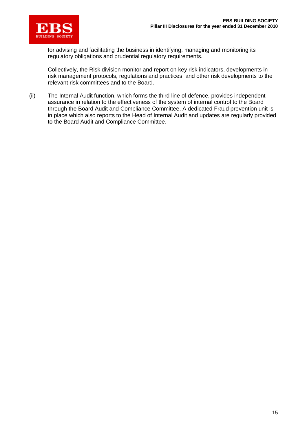

for advising and facilitating the business in identifying, managing and monitoring its regulatory obligations and prudential regulatory requirements.

Collectively, the Risk division monitor and report on key risk indicators, developments in risk management protocols, regulations and practices, and other risk developments to the relevant risk committees and to the Board.

(ii) The Internal Audit function, which forms the third line of defence, provides independent assurance in relation to the effectiveness of the system of internal control to the Board through the Board Audit and Compliance Committee. A dedicated Fraud prevention unit is in place which also reports to the Head of Internal Audit and updates are regularly provided to the Board Audit and Compliance Committee.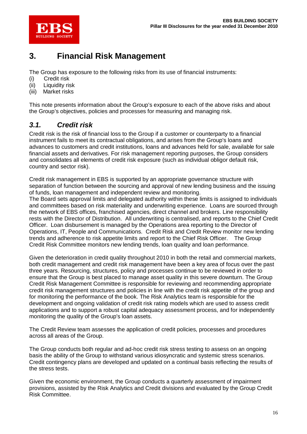

## **3. Financial Risk Management**

The Group has exposure to the following risks from its use of financial instruments:

- (i) Credit risk
- (ii) Liquidity risk
- (iii) Market risks

This note presents information about the Group's exposure to each of the above risks and about the Group's objectives, policies and processes for measuring and managing risk.

### *3.1. Credit risk*

Credit risk is the risk of financial loss to the Group if a customer or counterparty to a financial instrument fails to meet its contractual obligations, and arises from the Group's loans and advances to customers and credit institutions, loans and advances held for sale, available for sale financial assets and derivatives. For risk management reporting purposes, the Group considers and consolidates all elements of credit risk exposure (such as individual obligor default risk, country and sector risk).

Credit risk management in EBS is supported by an appropriate governance structure with separation of function between the sourcing and approval of new lending business and the issuing of funds, loan management and independent review and monitoring.

The Board sets approval limits and delegated authority within these limits is assigned to individuals and committees based on risk materiality and underwriting experience. Loans are sourced through the network of EBS offices, franchised agencies, direct channel and brokers. Line responsibility rests with the Director of Distribution. All underwriting is centralised, and reports to the Chief Credit Officer. Loan disbursement is managed by the Operations area reporting to the Director of Operations, IT, People and Communications. Credit Risk and Credit Review monitor new lending trends and adherence to risk appetite limits and report to the Chief Risk Officer. The Group Credit Risk Committee monitors new lending trends, loan quality and loan performance.

Given the deterioration in credit quality throughout 2010 in both the retail and commercial markets, both credit management and credit risk management have been a key area of focus over the past three years. Resourcing, structures, policy and processes continue to be reviewed in order to ensure that the Group is best placed to manage asset quality in this severe downturn. The Group Credit Risk Management Committee is responsible for reviewing and recommending appropriate credit risk management structures and policies in line with the credit risk appetite of the group and for monitoring the performance of the book. The Risk Analytics team is responsible for the development and ongoing validation of credit risk rating models which are used to assess credit applications and to support a robust capital adequacy assessment process, and for independently monitoring the quality of the Group's loan assets.

The Credit Review team assesses the application of credit policies, processes and procedures across all areas of the Group.

The Group conducts both regular and ad-hoc credit risk stress testing to assess on an ongoing basis the ability of the Group to withstand various idiosyncratic and systemic stress scenarios. Credit contingency plans are developed and updated on a continual basis reflecting the results of the stress tests.

Given the economic environment, the Group conducts a quarterly assessment of impairment provisions, assisted by the Risk Analytics and Credit divisions and evaluated by the Group Credit Risk Committee.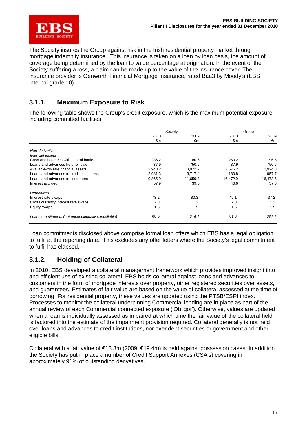

The Society insures the Group against risk in the Irish residential property market through mortgage indemnity insurance. This insurance is taken on a loan by loan basis, the amount of coverage being determined by the loan to value percentage at origination. In the event of the Society suffering a loss, a claim can be made up to the value of the insurance cover. The insurance provider is Genworth Financial Mortgage Insurance, rated Baa3 by Moody's (EBS internal grade 10).

### **3.1.1. Maximum Exposure to Risk**

The following table shows the Group's credit exposure, which is the maximum potential exposure including committed facilities:

|                                                    | Society  |          | Group    |          |
|----------------------------------------------------|----------|----------|----------|----------|
|                                                    | 2010     | 2009     | 2010     | 2009     |
|                                                    | €m       | €m       | €m       | €m       |
|                                                    |          |          |          |          |
| Non-derivative                                     |          |          |          |          |
| financial assets                                   |          |          |          |          |
| Cash and balances with central banks               | 236.2    | 180.6    | 250.2    | 196.5    |
| Loans and advances held-for-sale                   | 37.9     | 750.6    | 37.9     | 750.6    |
| Available-for-sale financial assets                | 3,943.2  | 3,972.2  | 2,575.2  | 2,924.8  |
| Loans and advances to credit institutions          | 2,981.3  | 3,717.4  | 180.8    | 957.7    |
| Loans and advances to customers                    | 10,865.9 | 11,659.8 | 16.472.9 | 16,473.5 |
| Interest accrued                                   | 57.9     | 39.5     | 46.6     | 37.6     |
| Derivatives                                        |          |          |          |          |
| Interest rate swaps                                | 73.2     | 80.3     | 49.1     | 37.2     |
| Cross currency interest rate swaps                 | 7.8      | 11.3     | 7.8      | 11.3     |
| Equity swaps                                       | 1.5      | 1.5      | 1.5      | 1.5      |
| Loan commitments (not unconditionally cancellable) | 68.0     | 216.5    | 81.3     | 252.2    |
|                                                    |          |          |          |          |

Loan commitments disclosed above comprise formal loan offers which EBS has a legal obligation to fulfil at the reporting date. This excludes any offer letters where the Society's legal commitment to fulfil has elapsed.

### **3.1.2. Holding of Collateral**

In 2010, EBS developed a collateral management framework which provides improved insight into and efficient use of existing collateral. EBS holds collateral against loans and advances to customers in the form of mortgage interests over property, other registered securities over assets, and guarantees. Estimates of fair value are based on the value of collateral assessed at the time of borrowing. For residential property, these values are updated using the PTSB/ESRI index. Processes to monitor the collateral underpinning Commercial lending are in place as part of the annual review of each Commercial connected exposure ('Obligor'). Otherwise, values are updated when a loan is individually assessed as impaired at which time the fair value of the collateral held is factored into the estimate of the impairment provision required. Collateral generally is not held over loans and advances to credit institutions, nor over debt securities or government and other eligible bills.

Collateral with a fair value of €13.3m (2009: €19.4m) is held against possession cases. In addition the Society has put in place a number of Credit Support Annexes (CSA's) covering in approximately 91% of outstanding derivatives.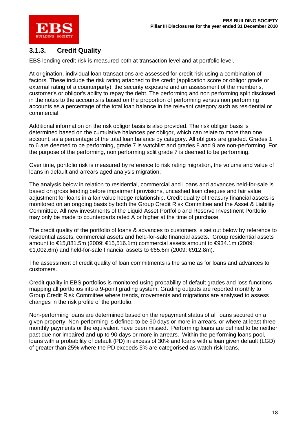

### **3.1.3. Credit Quality**

EBS lending credit risk is measured both at transaction level and at portfolio level.

At origination, individual loan transactions are assessed for credit risk using a combination of factors. These include the risk rating attached to the credit (application score or obligor grade or external rating of a counterparty), the security exposure and an assessment of the member's, customer's or obligor's ability to repay the debt. The performing and non performing split disclosed in the notes to the accounts is based on the proportion of performing versus non performing accounts as a percentage of the total loan balance in the relevant category such as residential or commercial.

Additional information on the risk obligor basis is also provided. The risk obligor basis is determined based on the cumulative balances per obligor, which can relate to more than one account, as a percentage of the total loan balance by category. All obligors are graded. Grades 1 to 6 are deemed to be performing, grade 7 is watchlist and grades 8 and 9 are non-performing. For the purpose of the performing, non performing split grade 7 is deemed to be performing.

Over time, portfolio risk is measured by reference to risk rating migration, the volume and value of loans in default and arrears aged analysis migration.

The analysis below in relation to residential, commercial and Loans and advances held-for-sale is based on gross lending before impairment provisions, uncashed loan cheques and fair value adjustment for loans in a fair value hedge relationship. Credit quality of treasury financial assets is monitored on an ongoing basis by both the Group Credit Risk Committee and the Asset & Liability Committee. All new investments of the Liquid Asset Portfolio and Reserve Investment Portfolio may only be made to counterparts rated A or higher at the time of purchase.

The credit quality of the portfolio of loans & advances to customers is set out below by reference to residential assets, commercial assets and held-for-sale financial assets. Group residential assets amount to €15,881.5m (2009: €15,516.1m) commercial assets amount to €934.1m (2009:  $€1,002.6$ m) and held-for-sale financial assets to  $€65.6$ m (2009:  $€912.8$ m).

The assessment of credit quality of loan commitments is the same as for loans and advances to customers.

Credit quality in EBS portfolios is monitored using probability of default grades and loss functions mapping all portfolios into a 9-point grading system. Grading outputs are reported monthly to Group Credit Risk Committee where trends, movements and migrations are analysed to assess changes in the risk profile of the portfolio.

Non-performing loans are determined based on the repayment status of all loans secured on a given property. Non-performing is defined to be 90 days or more in arrears, or where at least three monthly payments or the equivalent have been missed. Performing loans are defined to be neither past due nor impaired and up to 90 days or more in arrears. Within the performing loans pool, loans with a probability of default (PD) in excess of 30% and loans with a loan given default (LGD) of greater than 25% where the PD exceeds 5% are categorised as watch risk loans.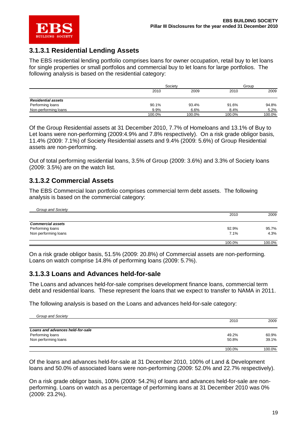

### **3.1.3.1 Residential Lending Assets**

The EBS residential lending portfolio comprises loans for owner occupation, retail buy to let loans for single properties or small portfolios and commercial buy to let loans for large portfolios. The following analysis is based on the residential category:

|                           |        | Society |        | Group  |  |
|---------------------------|--------|---------|--------|--------|--|
|                           | 2010   | 2009    | 2010   | 2009   |  |
| <b>Residential assets</b> |        |         |        |        |  |
| Performing loans          | 90.1%  | 93.4%   | 91.6%  | 94.8%  |  |
| Non-performing loans      | 9.9%   | 6.6%    | 8.4%   | 5.2%   |  |
|                           | 100.0% | 100.0%  | 100.0% | 100.0% |  |

Of the Group Residential assets at 31 December 2010, 7.7% of Homeloans and 13.1% of Buy to Let loans were non-performing (2009:4.9% and 7.8% respectively). On a risk grade obligor basis, 11.4% (2009: 7.1%) of Society Residential assets and 9.4% (2009: 5.6%) of Group Residential assets are non-performing.

Out of total performing residential loans, 3.5% of Group (2009: 3.6%) and 3.3% of Society loans (2009: 3.5%) are on the watch list.

### **3.1.3.2 Commercial Assets**

The EBS Commercial loan portfolio comprises commercial term debt assets. The following analysis is based on the commercial category:

| Group and Society        |        |        |
|--------------------------|--------|--------|
|                          | 2010   | 2009   |
| <b>Commercial assets</b> |        |        |
| Performing loans         | 92.9%  | 95.7%  |
|                          |        |        |
| Non performing loans     | 7.1%   | 4.3%   |
|                          | 100.0% | 100.0% |

On a risk grade obligor basis, 51.5% (2009: 20.8%) of Commercial assets are non-performing. Loans on watch comprise 14.8% of performing loans (2009: 5.7%).

### **3.1.3.3 Loans and Advances held-for-sale**

The Loans and advances held-for-sale comprises development finance loans, commercial term debt and residential loans. These represent the loans that we expect to transfer to NAMA in 2011.

The following analysis is based on the Loans and advances held-for-sale category:

| Group and Society                |        |        |
|----------------------------------|--------|--------|
|                                  | 2010   | 2009   |
| Loans and advances held-for-sale |        |        |
| Performing loans                 | 49.2%  | 60.9%  |
| Non performing loans             | 50.8%  | 39.1%  |
|                                  | 100.0% | 100.0% |

Of the loans and advances held-for-sale at 31 December 2010, 100% of Land & Development loans and 50.0% of associated loans were non-performing (2009: 52.0% and 22.7% respectively).

On a risk grade obligor basis, 100% (2009: 54.2%) of loans and advances held-for-sale are nonperforming. Loans on watch as a percentage of performing loans at 31 December 2010 was 0% (2009: 23.2%).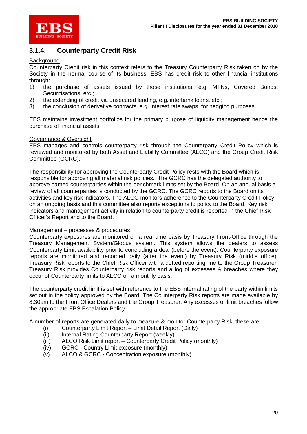

### **3.1.4. Counterparty Credit Risk**

#### **Background**

Counterparty Credit risk in this context refers to the Treasury Counterparty Risk taken on by the Society in the normal course of its business. EBS has credit risk to other financial institutions through:

- 1) the purchase of assets issued by those institutions, e.g. MTNs, Covered Bonds, Securitisations, etc.;
- 2) the extending of credit via unsecured lending, e.g. interbank loans, etc.;
- 3) the conclusion of derivative contracts, e.g. interest rate swaps, for hedging purposes.

EBS maintains investment portfolios for the primary purpose of liquidity management hence the purchase of financial assets.

#### Governance & Oversight

EBS manages and controls counterparty risk through the Counterparty Credit Policy which is reviewed and monitored by both Asset and Liability Committee (ALCO) and the Group Credit Risk Committee (GCRC).

The responsibility for approving the Counterparty Credit Policy rests with the Board which is responsible for approving all material risk policies. The GCRC has the delegated authority to approve named counterparties within the benchmark limits set by the Board. On an annual basis a review of all counterparties is conducted by the GCRC. The GCRC reports to the Board on its activities and key risk indicators. The ALCO monitors adherence to the Counterparty Credit Policy on an ongoing basis and this committee also reports exceptions to policy to the Board. Key risk indicators and management activity in relation to counterparty credit is reported in the Chief Risk Officer's Report and to the Board.

#### Management – processes & procedures

Counterparty exposures are monitored on a real time basis by Treasury Front-Office through the Treasury Management System/Globus system. This system allows the dealers to assess Counterparty Limit availability prior to concluding a deal (before the event). Counterparty exposure reports are monitored and recorded daily (after the event) by Treasury Risk (middle office). Treasury Risk reports to the Chief Risk Officer with a dotted reporting line to the Group Treasurer. Treasury Risk provides Counterparty risk reports and a log of excesses & breaches where they occur of Counterparty limits to ALCO on a monthly basis.

The counterparty credit limit is set with reference to the EBS internal rating of the party within limits set out in the policy approved by the Board. The Counterparty Risk reports are made available by 8.30am to the Front Office Dealers and the Group Treasurer. Any excesses or limit breaches follow the appropriate EBS Escalation Policy.

A number of reports are generated daily to measure & monitor Counterparty Risk, these are:

- (i) Counterparty Limit Report Limit Detail Report (Daily)
- (ii) Internal Rating Counterparty Report (weekly)
- (iii) ALCO Risk Limit report Counterparty Credit Policy (monthly)
- (iv) GCRC Country Limit exposure (monthly)
- (v) ALCO & GCRC Concentration exposure (monthly)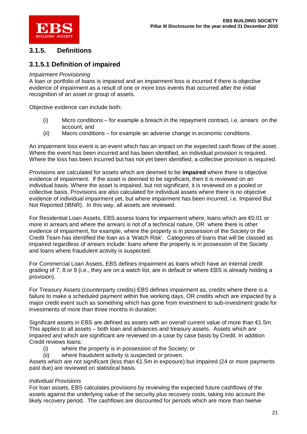

### **3.1.5. Definitions**

### **3.1.5.1 Definition of impaired**

#### *Impairment Provisioning*

A loan or portfolio of loans is impaired and an impairment loss is incurred if there is objective evidence of impairment as a result of one or more loss events that occurred after the initial recognition of an asset or group of assets.

Objective evidence can include both:

- (i) Micro conditions for example a breach in the repayment contract, i.e. arrears on the account, and
- (ii) Macro conditions for example an adverse change in economic conditions.

An impairment loss event is an event which has an impact on the expected cash flows of the asset. Where the event has been incurred and has been identified, an individual provision is required. Where the loss has been incurred but has not yet been identified, a collective provision is required.

Provisions are calculated for assets which are deemed to be **impaired** where there is objective evidence of impairment. If the asset is deemed to be significant, then it is reviewed on an individual basis. Where the asset is impaired, but not significant, it is reviewed on a pooled or collective basis. Provisions are also calculated for individual assets where there is no objective evidence of individual impairment yet, but where impairment has been incurred, i.e. Impaired But Not Reported (IBNR). In this way, all assets are reviewed.

For Residential Loan Assets, EBS assess loans for impairment where; loans which are €0.01 or more in arrears and where the arrears is not of a technical nature, OR where there is other evidence of impairment, for example, where the property is in possession of the Society or the Credit Team has identified the loan as a 'Watch Risk'. Categories of loans that will be classed as impaired regardless of arrears include: loans where the property is in possession of the Society and loans where fraudulent activity is suspected.

For Commercial Loan Assets, EBS defines impairment as loans which have an internal credit grading of 7, 8 or 9 (i.e., they are on a watch list, are in default or where EBS is already holding a provision).

For Treasury Assets (counterparty credits) EBS defines impairment as, credits where there is a failure to make a scheduled payment within five working days, OR credits which are impacted by a major credit event such as something which has gone from investment to sub-investment grade for investments of more than three months in duration.

Significant assets in EBS are defined as assets with an overall current value of more than  $\epsilon$ 1.5m. This applies to all assets – both loan and advances and treasury assets. Assets which are impaired and which are significant are reviewed on a case by case basis by Credit. In addition Credit reviews loans:

- (i) where the property is in possession of the Society; or
- (ii) where fraudulent activity is suspected or proven.

Assets which are not significant (less than €1.5m in exposure) but impaired (24 or more payments past due) are reviewed on statistical basis.

#### *Individual Provisions*

For loan assets, EBS calculates provisions by reviewing the expected future cashflows of the assets against the underlying value of the security plus recovery costs, taking into account the likely recovery period. The cashflows are discounted for periods which are more than twelve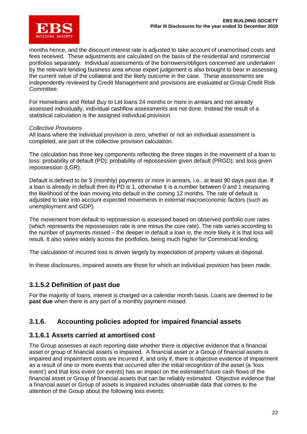

months hence, and the discount interest rate is adjusted to take account of unamortised costs and fees received. These adjustments are calculated on the basis of the residential and commercial portfolios separately. Individual assessments of the borrowers/obligors concerned are undertaken by the relevant lending business area whose expert judgement is also brought to bear in assessing the current value of the collateral and the likely outcome in the case. These assessments are independently reviewed by Credit Management and provisions are evaluated at Group Credit Risk Committee.

For Homeloans and Retail Buy to Let loans 24 months or more in arrears and not already assessed individually, individual cashflow assessments are not done. Instead the result of a statistical calculation is the assigned individual provision.

#### *Collective Provisions*

All loans where the individual provision is zero, whether or not an individual assessment is completed, are part of the collective provision calculation.

The calculation has three key components reflecting the three stages in the movement of a loan to loss: probability of default (PD); probability of repossession given default (PRGD); and loss given repossession (LGR).

Default is defined to be 3 (monthly) payments or more in arrears, i.e., at least 90 days past due. If a loan is already in default then its PD is 1, otherwise it is a number between 0 and 1 measuring the likelihood of the loan moving into default in the coming 12 months. The rate of default is adjusted to take into account expected movements in external macroeconomic factors (such as unemployment and GDP).

The movement from default to repossession is assessed based on observed portfolio cure rates (which represents the repossession rate is one minus the cure rate). The rate varies according to the number of payments missed – the deeper in default a loan is, the more likely it is that loss will result. It also varies widely across the portfolios, being much higher for Commercial lending.

The calculation of incurred loss is driven largely by expectation of property values at disposal.

In these disclosures, impaired assets are those for which an individual provision has been made.

### **3.1.5.2 Definition of past due**

For the majority of loans, interest is charged on a calendar month basis. Loans are deemed to be **past due** when there is any part of a monthly payment missed.

### **3.1.6. Accounting policies adopted for impaired financial assets**

### **3.1.6.1 Assets carried at amortised cost**

The Group assesses at each reporting date whether there is objective evidence that a financial asset or group of financial assets is impaired. A financial asset or a Group of financial assets is impaired and impairment costs are incurred if, and only if, there is objective evidence of impairment as a result of one or more events that occurred after the initial recognition of the asset (a 'loss event') and that loss event (or events) has an impact on the estimated future cash flows of the financial asset or Group of financial assets that can be reliably estimated. Objective evidence that a financial asset or Group of assets is impaired includes observable data that comes to the attention of the Group about the following loss events: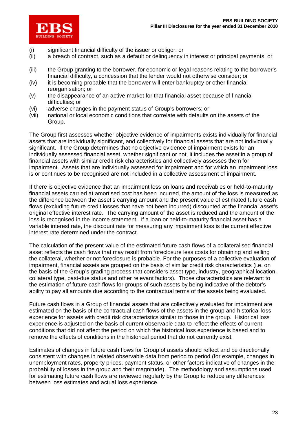

- (i) significant financial difficulty of the issuer or obligor; or
- (ii) a breach of contract, such as a default or delinquency in interest or principal payments; or
- (iii) the Group granting to the borrower, for economic or legal reasons relating to the borrower's financial difficulty, a concession that the lender would not otherwise consider; or
- (iv) it is becoming probable that the borrower will enter bankruptcy or other financial reorganisation; or
- (v) the disappearance of an active market for that financial asset because of financial difficulties; or
- (vi) adverse changes in the payment status of Group's borrowers; or
- (vii) national or local economic conditions that correlate with defaults on the assets of the Group.

The Group first assesses whether objective evidence of impairments exists individually for financial assets that are individually significant, and collectively for financial assets that are not individually significant. If the Group determines that no objective evidence of impairment exists for an individually assessed financial asset, whether significant or not, it includes the asset in a group of financial assets with similar credit risk characteristics and collectively assesses them for impairment. Assets that are individually assessed for impairment and for which an impairment loss is or continues to be recognised are not included in a collective assessment of impairment.

If there is objective evidence that an impairment loss on loans and receivables or held-to-maturity financial assets carried at amortised cost has been incurred, the amount of the loss is measured as the difference between the asset's carrying amount and the present value of estimated future cash flows (excluding future credit losses that have not been incurred) discounted at the financial asset's original effective interest rate. The carrying amount of the asset is reduced and the amount of the loss is recognised in the income statement. If a loan or held-to-maturity financial asset has a variable interest rate, the discount rate for measuring any impairment loss is the current effective interest rate determined under the contract.

The calculation of the present value of the estimated future cash flows of a collateralised financial asset reflects the cash flows that may result from foreclosure less costs for obtaining and selling the collateral, whether or not foreclosure is probable. For the purposes of a collective evaluation of impairment, financial assets are grouped on the basis of similar credit risk characteristics (i.e. on the basis of the Group's grading process that considers asset type, industry, geographical location, collateral type, past-due status and other relevant factors). Those characteristics are relevant to the estimation of future cash flows for groups of such assets by being indicative of the debtor's ability to pay all amounts due according to the contractual terms of the assets being evaluated.

Future cash flows in a Group of financial assets that are collectively evaluated for impairment are estimated on the basis of the contractual cash flows of the assets in the group and historical loss experience for assets with credit risk characteristics similar to those in the group. Historical loss experience is adjusted on the basis of current observable data to reflect the effects of current conditions that did not affect the period on which the historical loss experience is based and to remove the effects of conditions in the historical period that do not currently exist.

Estimates of changes in future cash flows for Group of assets should reflect and be directionally consistent with changes in related observable data from period to period (for example, changes in unemployment rates, property prices, payment status, or other factors indicative of changes in the probability of losses in the group and their magnitude). The methodology and assumptions used for estimating future cash flows are reviewed regularly by the Group to reduce any differences between loss estimates and actual loss experience.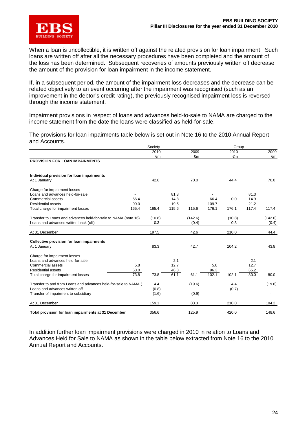

When a loan is uncollectible, it is written off against the related provision for loan impairment. Such loans are written off after all the necessary procedures have been completed and the amount of the loss has been determined. Subsequent recoveries of amounts previously written off decrease the amount of the provision for loan impairment in the income statement.

If, in a subsequent period, the amount of the impairment loss decreases and the decrease can be related objectively to an event occurring after the impairment was recognised (such as an improvement in the debtor's credit rating), the previously recognised impairment loss is reversed through the income statement.

Impairment provisions in respect of loans and advances held-to-sale to NAMA are charged to the income statement from the date the loans were classified as held-for-sale.

The provisions for loan impairments table below is set out in Note 16 to the 2010 Annual Report and Accounts.

|                                                                 | Society |       |         |       | Group                    |       |                          |
|-----------------------------------------------------------------|---------|-------|---------|-------|--------------------------|-------|--------------------------|
|                                                                 | 2010    |       | 2009    |       | 2010                     |       | 2009                     |
|                                                                 | €m      |       | €m      |       | €m                       |       | €m                       |
| <b>PROVISION FOR LOAN IMPAIRMENTS</b>                           |         |       |         |       |                          |       |                          |
| Individual provision for loan impairments                       |         |       |         |       |                          |       |                          |
| At 1 January                                                    | 42.6    |       | 70.0    |       | 44.4                     |       | 70.0                     |
| Charge for impairment losses                                    |         |       |         |       |                          |       |                          |
| Loans and advances held-for-sale                                |         | 81.3  |         |       |                          | 81.3  |                          |
| 66.4<br>Commercial assets                                       |         | 14.8  |         | 66.4  | 0.0                      | 14.9  |                          |
| <b>Residential assets</b><br>99.0                               |         | 19.5  |         | 109.7 |                          | 21.2  |                          |
| 165.4<br>Total charge for impairment losses                     | 165.4   | 115.6 | 115.6   | 176.1 | 176.1                    | 117.4 | 117.4                    |
| Transfer to Loans and advances held-for-sale to NAMA (note 16)  | (10.8)  |       | (142.6) |       | (10.8)                   |       | (142.6)                  |
| Loans and advances written back (off)                           | 0.3     |       | (0.4)   |       | 0.3                      |       | (0.4)                    |
| At 31 December                                                  | 197.5   |       | 42.6    |       | 210.0                    |       | 44.4                     |
|                                                                 |         |       |         |       |                          |       |                          |
| <b>Collective provision for loan impairments</b>                |         |       |         |       |                          |       |                          |
| At 1 January                                                    | 83.3    |       | 42.7    |       | 104.2                    |       | 43.8                     |
| Charge for impairment losses                                    |         |       |         |       |                          |       |                          |
| Loans and advances held-for-sale                                |         | 2.1   |         |       |                          | 2.1   |                          |
| Commercial assets<br>5.8                                        |         | 12.7  |         | 5.8   |                          | 12.7  |                          |
| <b>Residential assets</b><br>68.0                               |         | 46.3  |         | 96.3  |                          | 65.2  |                          |
| 73.8<br>Total charge for impairment losses                      | 73.8    | 61.1  | 61.1    | 102.1 | 102.1                    | 80.0  | 80.0                     |
| Transfer to and from Loans and advances held-for-sale to NAMA ( | 4.4     |       | (19.6)  |       | 4.4                      |       | (19.6)                   |
| Loans and advances written off                                  | (0.8)   |       |         |       | (0.7)                    |       |                          |
| Transfer of impairment to subsidiary                            | (1.6)   |       | (0.9)   |       | $\overline{\phantom{a}}$ |       | $\overline{\phantom{a}}$ |
| At 31 December                                                  | 159.1   |       | 83.3    |       | 210.0                    |       | 104.2                    |
| Total provision for loan impairments at 31 December             | 356.6   |       | 125.9   |       | 420.0                    |       | 148.6                    |

In addition further loan impairment provisions were charged in 2010 in relation to Loans and Advances Held for Sale to NAMA as shown in the table below extracted from Note 16 to the 2010 Annual Report and Accounts.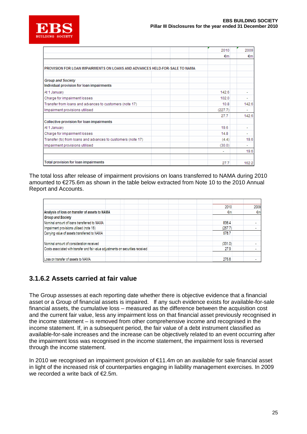

|                                                                            | 2010    | 2009  |
|----------------------------------------------------------------------------|---------|-------|
|                                                                            | €m      | €m    |
|                                                                            |         |       |
| PROVISION FOR LOAN IMPAIRMENTS ON LOANS AND ADVANCES HELD-FOR-SALE TO NAMA |         |       |
|                                                                            |         |       |
| <b>Group and Society</b>                                                   |         |       |
| Individual provision for loan impairments                                  |         |       |
| At 1 January                                                               | 142.6   |       |
| Charge for impairment losses                                               | 102.0   |       |
| Transfer from loans and advances to customers (note 17)                    | 10.8    | 142.6 |
| Impairment provisions utilised                                             | (227.7) | ۰     |
|                                                                            | 27.7    | 142.6 |
| Collective provision for loan impairments                                  |         |       |
| At 1 January                                                               | 19.6    | ٠     |
| Charge for impairment losses                                               | 14.8    | ٠     |
| Transfer (to) from loans and advances to customers (note 17)               | (4.4)   | 19.6  |
| Impairment provisions utilised                                             | (30.0)  |       |
|                                                                            | ۰       | 19.6  |
|                                                                            |         |       |
| Total provision for loan impairments                                       | 27.7    | 162.2 |

The total loss after release of impairment provisions on loans transferred to NAMA during 2010 amounted to €275.6m as shown in the table below extracted from Note 10 to the 2010 Annual Report and Accounts.

|                                                |                                                                                  | 2010    | 2009         |
|------------------------------------------------|----------------------------------------------------------------------------------|---------|--------------|
| Analysis of loss on transfer of assets to NAMA |                                                                                  | €m      | $\epsilon$ m |
| <b>Group and Society</b>                       |                                                                                  |         |              |
| Nominal amount of loans transferred to NAMA    |                                                                                  | 836.4   |              |
| Impairment provisions utilised (note 16)       |                                                                                  | (257.7) |              |
| Carrying value of assets transferred to NAMA   |                                                                                  | 578.7   |              |
|                                                |                                                                                  |         |              |
| Nominal amount of consideration received       |                                                                                  | (331.0) |              |
|                                                | Costs associated with transfer and fair value adjustments on securities received |         |              |
|                                                |                                                                                  |         |              |
| Loss on transfer of assets to NAMA             |                                                                                  | 275.6   |              |

### **3.1.6.2 Assets carried at fair value**

The Group assesses at each reporting date whether there is objective evidence that a financial asset or a Group of financial assets is impaired. If any such evidence exists for available-for-sale financial assets, the cumulative loss – measured as the difference between the acquisition cost and the current fair value, less any impairment loss on that financial asset previously recognised in the income statement – is removed from other comprehensive income and recognised in the income statement. If, in a subsequent period, the fair value of a debt instrument classified as available-for-sale increases and the increase can be objectively related to an event occurring after the impairment loss was recognised in the income statement, the impairment loss is reversed through the income statement.

In 2010 we recognised an impairment provision of €11.4m on an available for sale financial asset in light of the increased risk of counterparties engaging in liability management exercises. In 2009 we recorded a write back of  $E$ .5m.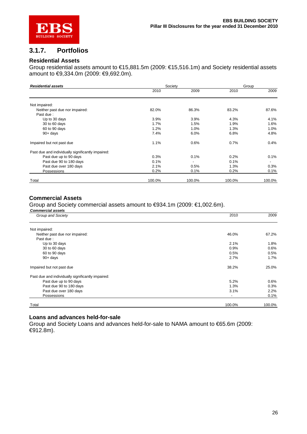

### **3.1.7. Portfolios**

#### **Residential Assets**

Group residential assets amount to €15,881.5m (2009: €15,516.1m) and Society residential assets amount to €9,334.0m (2009: €9,692.0m).

| <b>Residential assets</b>                         | Society |        | Group  |                          |
|---------------------------------------------------|---------|--------|--------|--------------------------|
|                                                   | 2010    | 2009   | 2010   | 2009                     |
| Not impaired:                                     |         |        |        |                          |
| Neither past due nor impaired:                    | 82.0%   | 86.3%  | 83.2%  | 87.6%                    |
| Past due:                                         |         |        |        |                          |
| Up to 30 days                                     | 3.9%    | 3.9%   | 4.3%   | 4.1%                     |
| 30 to 60 days                                     | 1.7%    | 1.5%   | 1.9%   | 1.6%                     |
| 60 to 90 days                                     | 1.2%    | 1.0%   | 1.3%   | 1.0%                     |
| $90 + days$                                       | 7.4%    | 6.0%   | 6.8%   | 4.8%                     |
| Impaired but not past due                         | 1.1%    | 0.6%   | 0.7%   | 0.4%                     |
| Past due and individually significantly impaired: |         |        |        |                          |
| Past due up to 90 days                            | 0.3%    | 0.1%   | 0.2%   | 0.1%                     |
| Past due 90 to 180 days                           | 0.1%    |        | 0.1%   | $\overline{\phantom{a}}$ |
| Past due over 180 days                            | 2.1%    | 0.5%   | 1.3%   | 0.3%                     |
| Possessions                                       | 0.2%    | 0.1%   | 0.2%   | 0.1%                     |
| Total                                             | 100.0%  | 100.0% | 100.0% | 100.0%                   |

#### **Commercial Assets**

Group and Society commercial assets amount to €934.1m (2009: €1,002.6m).

| <b>Commercial assets</b>                          |        |        |
|---------------------------------------------------|--------|--------|
| Group and Society                                 | 2010   | 2009   |
| Not impaired:                                     |        |        |
| Neither past due nor impaired:                    | 46.0%  | 67.2%  |
| Past due:                                         |        |        |
| Up to 30 days                                     | 2.1%   | 1.8%   |
| 30 to 60 days                                     | 0.9%   | 0.6%   |
| 60 to 90 days                                     | 0.5%   | 0.5%   |
| $90 + days$                                       | 2.7%   | 1.7%   |
| Impaired but not past due                         | 38.2%  | 25.0%  |
| Past due and individually significantly impaired: |        |        |
| Past due up to 90 days                            | 5.2%   | 0.6%   |
| Past due 90 to 180 days                           | 1.3%   | 0.3%   |
| Past due over 180 days                            | 3.1%   | 2.2%   |
| Possessions                                       |        | 0.1%   |
| Total                                             | 100.0% | 100.0% |

#### **Loans and advances held-for-sale**

Group and Society Loans and advances held-for-sale to NAMA amount to €65.6m (2009: €912.8m).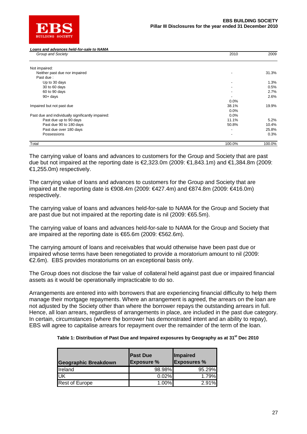

*Loans and advances held-for-sale to NAMA*

| Group and Society                                 | 2010                     | 2009   |
|---------------------------------------------------|--------------------------|--------|
| Not impaired:                                     |                          |        |
| Neither past due nor impaired                     |                          | 31.3%  |
| Past due:                                         |                          |        |
| Up to 30 days                                     |                          | 1.3%   |
| 30 to 60 days                                     |                          | 0.5%   |
| 60 to 90 days                                     |                          | 2.7%   |
| $90 + days$                                       |                          | 2.6%   |
|                                                   | $0.0\%$                  |        |
| Impaired but not past due                         | 38.1%                    | 19.9%  |
|                                                   | 0.0%                     |        |
| Past due and individually significantly impaired: | 0.0%                     |        |
| Past due up to 90 days                            | 11.1%                    | 5.2%   |
| Past due 90 to 180 days                           | 50.8%                    | 10.4%  |
| Past due over 180 days                            |                          | 25.8%  |
| Possessions                                       | $\overline{\phantom{0}}$ | 0.3%   |
| Total                                             | 100.0%                   | 100.0% |

The carrying value of loans and advances to customers for the Group and Society that are past due but not impaired at the reporting date is  $€2,323.0$ m (2009:  $€1,843.1$ m) and  $€1,384.8$ m (2009: €1,255.0m) respectively.

The carrying value of loans and advances to customers for the Group and Society that are impaired at the reporting date is  $€908.4m$  (2009:  $€427.4m$ ) and  $€874.8m$  (2009:  $€416.0m$ ) respectively.

The carrying value of loans and advances held-for-sale to NAMA for the Group and Society that are past due but not impaired at the reporting date is nil (2009: €65.5m).

The carrying value of loans and advances held-for-sale to NAMA for the Group and Society that are impaired at the reporting date is €65.6m (2009: €562.6m).

The carrying amount of loans and receivables that would otherwise have been past due or impaired whose terms have been renegotiated to provide a moratorium amount to nil (2009: €2.6m). EBS provides moratoriums on an exceptional basis only.

The Group does not disclose the fair value of collateral held against past due or impaired financial assets as it would be operationally impracticable to do so.

Arrangements are entered into with borrowers that are experiencing financial difficulty to help them manage their mortgage repayments. Where an arrangement is agreed, the arrears on the loan are not adjusted by the Society other than where the borrower repays the outstanding arrears in full. Hence, all loan arrears, regardless of arrangements in place, are included in the past due category. In certain, circumstances (where the borrower has demonstrated intent and an ability to repay), EBS will agree to capitalise arrears for repayment over the remainder of the term of the loan.

|  | Table 1: Distribution of Past Due and Impaired exposures by Geography as at 31 <sup>st</sup> Dec 2010 |  |
|--|-------------------------------------------------------------------------------------------------------|--|
|--|-------------------------------------------------------------------------------------------------------|--|

| <b>Geographic Breakdown</b> | <b>Past Due</b><br><b>Exposure %</b> | <b>Impaired</b><br><b>Exposures %</b> |
|-----------------------------|--------------------------------------|---------------------------------------|
| Ireland                     | 98.98%                               | 95.29%                                |
| UK                          | 0.02%                                | 1.79%                                 |
| <b>Rest of Europe</b>       | 1.00%                                | $2.91\%$                              |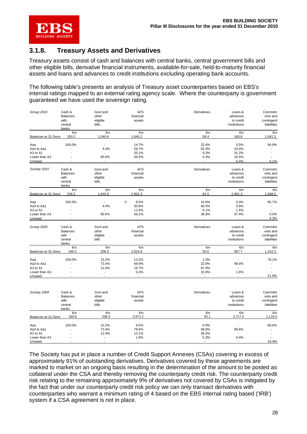

### **3.1.8. Treasury Assets and Derivatives**

Treasury assets consist of cash and balances with central banks, central government bills and other eligible bills, derivative financial instruments, available-for-sale, held-to-maturity financial assets and loans and advances to credit institutions excluding operating bank accounts.

The following table's presents an analysis of Treasury asset counterparties based on EBS's internal ratings mapped to an external rating agency scale. Where the counterparty is government guaranteed we have used the sovereign rating.

| Group 2010          | Cash &<br><b>Balances</b><br>with<br>central<br>banks | Govt and<br>other<br>eligible<br>bills | <b>AFS</b><br>financial<br>assets | Derivatives  | Loans &<br>advances<br>to credit<br>institutions | Commitm<br>ents and<br>contingent<br>liabilities |
|---------------------|-------------------------------------------------------|----------------------------------------|-----------------------------------|--------------|--------------------------------------------------|--------------------------------------------------|
|                     | €m                                                    | €m                                     | €m                                | €m           | €m                                               | €m                                               |
| Balances at 31 Dece | 250.2                                                 | 1,040.9                                | 1,840.2                           | 58.4         | 180.8                                            | 1,581.3                                          |
| Aaa                 | 100.0%                                                |                                        | 14.7%                             | 22.4%        | 5.5%                                             | 94.9%                                            |
| Aa3 to Aa1          |                                                       | 4.4%                                   | 28.7%                             | 62.0%        | 43.4%                                            |                                                  |
| A3 to A1            |                                                       | ÷                                      | 20.1%                             | 9.3%         | 31.2%                                            |                                                  |
| Lower than A3       |                                                       | 95.6%                                  | 36.5%                             | 6.3%         | 19.5%                                            |                                                  |
| Unrated             |                                                       | $\sim$                                 | $\sim$                            |              | 0.4%                                             | 5.1%                                             |
| Society 2010        | Cash &                                                | Govt and                               | <b>AFS</b>                        | Derivatives  | Loans &                                          | Commitm                                          |
|                     | <b>Balances</b>                                       | other                                  | financial                         |              | advances                                         | ents and                                         |
|                     | with                                                  | eligible                               | assets                            |              | to credit                                        | contingent                                       |
|                     | central                                               | bills                                  |                                   |              | institutions                                     | liabilities                                      |
|                     | banks                                                 |                                        |                                   |              |                                                  |                                                  |
|                     | €m                                                    | €m                                     | €m                                | €m           | €m                                               | €m                                               |
| Balances at 31 Dece | 236.2                                                 | 1,040.9                                | 2,902.3                           | 82.5         | 2,981.3                                          | 1,568.0                                          |
| Aaa                 | 100.0%                                                |                                        | $\pmb{0}$<br>8.5%                 | 14.6%        | 0.3%                                             | 95.7%                                            |
| Aa3 to Aa1          |                                                       | 4.4%                                   | 30.8%                             | 40.5%        | 0.8%                                             | $\blacksquare$                                   |
| A3 to A1            |                                                       | $\overline{\phantom{a}}$               | 11.6%                             | 6.1%         | 1.5%                                             | $\overline{\phantom{a}}$                         |
| Lower than A3       |                                                       | 95.6%                                  | 49.1%                             | 38.8%        | 97.4%                                            | 0.0%                                             |
| Unrated             |                                                       |                                        | $\overline{\phantom{a}}$          | $\mathbf{r}$ | $\mathbf{r}$                                     | 4.3%                                             |
| Group 2009          | Cash &                                                | Govt and                               | <b>AFS</b>                        | Derivatives  | Loans &                                          | Commitm                                          |
|                     | <b>Balances</b>                                       | other                                  | financial                         |              | advances                                         | ents and                                         |
|                     | with                                                  |                                        | assets                            |              | to credit                                        |                                                  |
|                     | central                                               | eligible<br>bills                      |                                   |              | institutions                                     | contingent<br>liabilities                        |
|                     | banks                                                 |                                        |                                   |              |                                                  |                                                  |
|                     | €m                                                    | €m                                     | €m                                | €m           | €m                                               | €m                                               |
| Balances at 31 Dece | 196.5                                                 | 208.3                                  | 2,924.8                           | 50.0         | 957.7                                            | 1,152.2                                          |
| Aaa                 | 100.0%                                                | 15.2%                                  | 13.2%                             | 1.0%         | $\sim$                                           | 78.1%                                            |
| Aa3 to Aa1          |                                                       | 72.4%                                  | 69.9%                             | 22.0%        | 98.4%                                            | $\blacksquare$                                   |
| A3 to A1            |                                                       | 12.4%                                  | 16.7%                             | 67.0%        | $\mathbf{r}$                                     |                                                  |
| Lower than A3       |                                                       | $\overline{\phantom{a}}$               | 0.2%                              | 10.0%        | 1.6%                                             |                                                  |
| Unrated             |                                                       |                                        |                                   |              |                                                  | 21.9%                                            |
|                     |                                                       |                                        |                                   |              |                                                  |                                                  |
| Society 2009        | Cash &                                                | Govt and                               | <b>AFS</b>                        | Derivatives  | Loans &                                          | Commitm                                          |
|                     | <b>Balances</b>                                       | other                                  | financial                         |              | advances                                         | ents and                                         |
|                     | with                                                  | eligible                               | assets                            |              | to credit                                        | contingent                                       |
|                     | central                                               | bills                                  |                                   |              | institutions                                     | liabilities                                      |
|                     | banks                                                 |                                        |                                   |              |                                                  |                                                  |
| Balances at 31 Dece | €m<br>180.6                                           | €m<br>208.3                            | €m<br>3,972.2                     | €m<br>93.1   | €m<br>3,717.4                                    | €m<br>1,116.5                                    |
|                     |                                                       |                                        |                                   |              |                                                  |                                                  |
| Aaa                 | 100.0%                                                | 15.2%                                  | 9.5%                              | 0.6%         | $\sim$                                           | 80.6%                                            |
| Aa3 to Aa1          |                                                       | 72.4%                                  | 76.6%                             | 58.6%        | 99.6%                                            |                                                  |
| A3 to A1            |                                                       | 12.4%                                  | 12.1%                             | 35.5%        |                                                  |                                                  |
| Lower than A3       |                                                       | $\overline{\phantom{a}}$               | 1.8%                              | 5.3%         | 0.4%                                             |                                                  |
| Unrated             |                                                       |                                        | $\overline{\phantom{a}}$          |              |                                                  | 19.4%                                            |

The Society has put in place a number of Credit Support Annexes (CSAs) covering in excess of approximately 91% of outstanding derivatives. Derivatives covered by these agreements are marked to market on an ongoing basis resulting in the determination of the amount to be posted as collateral under the CSA and thereby removing the counterparty credit risk. The counterparty credit risk relating to the remaining approximately 9% of derivatives not covered by CSAs is mitigated by the fact that under our counterparty credit risk policy we can only transact derivatives with counterparties who warrant a minimum rating of 4 based on the EBS internal rating based ('IRB') system if a CSA agreement is not in place.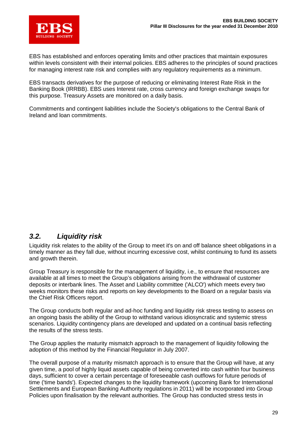

EBS has established and enforces operating limits and other practices that maintain exposures within levels consistent with their internal policies. EBS adheres to the principles of sound practices for managing interest rate risk and complies with any regulatory requirements as a minimum.

EBS transacts derivatives for the purpose of reducing or eliminating Interest Rate Risk in the Banking Book (IRRBB). EBS uses Interest rate, cross currency and foreign exchange swaps for this purpose. Treasury Assets are monitored on a daily basis.

Commitments and contingent liabilities include the Society's obligations to the Central Bank of Ireland and loan commitments.

### *3.2. Liquidity risk*

Liquidity risk relates to the ability of the Group to meet it's on and off balance sheet obligations in a timely manner as they fall due, without incurring excessive cost, whilst continuing to fund its assets and growth therein.

Group Treasury is responsible for the management of liquidity, i.e., to ensure that resources are available at all times to meet the Group's obligations arising from the withdrawal of customer deposits or interbank lines. The Asset and Liability committee ('ALCO') which meets every two weeks monitors these risks and reports on key developments to the Board on a regular basis via the Chief Risk Officers report.

The Group conducts both regular and ad-hoc funding and liquidity risk stress testing to assess on an ongoing basis the ability of the Group to withstand various idiosyncratic and systemic stress scenarios. Liquidity contingency plans are developed and updated on a continual basis reflecting the results of the stress tests.

The Group applies the maturity mismatch approach to the management of liquidity following the adoption of this method by the Financial Regulator in July 2007.

The overall purpose of a maturity mismatch approach is to ensure that the Group will have, at any given time, a pool of highly liquid assets capable of being converted into cash within four business days, sufficient to cover a certain percentage of foreseeable cash outflows for future periods of time ('time bands'). Expected changes to the liquidity framework (upcoming Bank for International Settlements and European Banking Authority regulations in 2011) will be incorporated into Group Policies upon finalisation by the relevant authorities. The Group has conducted stress tests in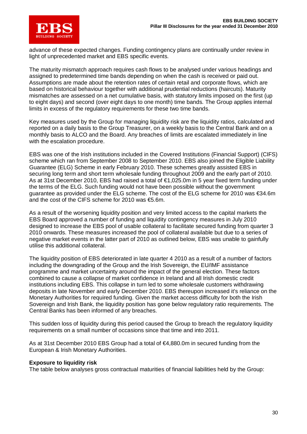

advance of these expected changes. Funding contingency plans are continually under review in light of unprecedented market and EBS specific events.

The maturity mismatch approach requires cash flows to be analysed under various headings and assigned to predetermined time bands depending on when the cash is received or paid out. Assumptions are made about the retention rates of certain retail and corporate flows, which are based on historical behaviour together with additional prudential reductions (haircuts). Maturity mismatches are assessed on a net cumulative basis, with statutory limits imposed on the first (up to eight days) and second (over eight days to one month) time bands. The Group applies internal limits in excess of the regulatory requirements for these two time bands.

Key measures used by the Group for managing liquidity risk are the liquidity ratios, calculated and reported on a daily basis to the Group Treasurer, on a weekly basis to the Central Bank and on a monthly basis to ALCO and the Board. Any breaches of limits are escalated immediately in line with the escalation procedure.

EBS was one of the Irish institutions included in the Covered Institutions (Financial Support) (CIFS) scheme which ran from September 2008 to September 2010. EBS also joined the Eligible Liability Guarantee (ELG) Scheme in early February 2010. These schemes greatly assisted EBS in securing long term and short term wholesale funding throughout 2009 and the early part of 2010. As at 31st December 2010, EBS had raised a total of €1,025.0m in 5 year fixed term funding under the terms of the ELG. Such funding would not have been possible without the government guarantee as provided under the ELG scheme. The cost of the ELG scheme for 2010 was €34.6m and the cost of the CIFS scheme for 2010 was €5.6m.

As a result of the worsening liquidity position and very limited access to the capital markets the EBS Board approved a number of funding and liquidity contingency measures in July 2010 designed to increase the EBS pool of usable collateral to facilitate secured funding from quarter 3 2010 onwards. These measures increased the pool of collateral available but due to a series of negative market events in the latter part of 2010 as outlined below, EBS was unable to gainfully utilise this additional collateral.

The liquidity position of EBS deteriorated in late quarter 4 2010 as a result of a number of factors including the downgrading of the Group and the Irish Sovereign, the EU/IMF assistance programme and market uncertainty around the impact of the general election. These factors combined to cause a collapse of market confidence in Ireland and all Irish domestic credit institutions including EBS. This collapse in turn led to some wholesale customers withdrawing deposits in late November and early December 2010. EBS thereupon increased it's reliance on the Monetary Authorities for required funding. Given the market access difficulty for both the Irish Sovereign and Irish Bank, the liquidity position has gone below regulatory ratio requirements. The Central Banks has been informed of any breaches.

This sudden loss of liquidity during this period caused the Group to breach the regulatory liquidity requirements on a small number of occasions since that time and into 2011.

As at 31st December 2010 EBS Group had a total of €4,880.0m in secured funding from the European & Irish Monetary Authorities.

#### **Exposure to liquidity risk**

The table below analyses gross contractual maturities of financial liabilities held by the Group: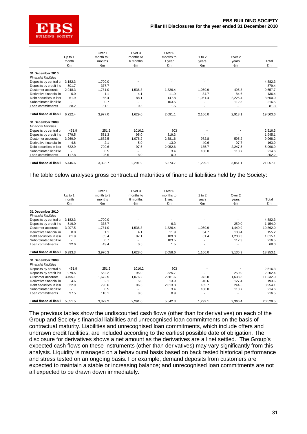

|                               |                          | Over 1     | Over 3                   | Over 6    |         |         |          |
|-------------------------------|--------------------------|------------|--------------------------|-----------|---------|---------|----------|
|                               | Up to 1                  | month to 3 | months to                | months to | 1 to 2  | Over 2  |          |
|                               | month                    | months     | 6 months                 | 1 year    | years   | years   | Total    |
|                               | €m                       | €m         | €m                       | €m        | €m      | €m      | €m       |
| 31 December 2010              |                          |            |                          |           |         |         |          |
| <b>Financial liabilities</b>  |                          |            |                          |           |         |         |          |
| Deposits by central b         | 3,182.3                  | 1,700.0    |                          |           |         |         | 4,882.3  |
| Deposits by credit ins        | 501.7                    | 377.7      |                          |           |         |         | 879.4    |
| Customer accounts             | 2,948.3                  | 1,781.0    | 1.536.3                  | 1,826.4   | 1.069.9 | 495.8   | 9,657.7  |
| Derivative financial in       | 0.0                      | 1.1        | 4.1                      | 11.9      | 34.7    | 84.6    | 136.4    |
| Debt securities in issu       | 61.9                     | 65.4       | 88.1                     | 147.8     | 1,061.4 | 2,225.4 | 3,650.0  |
| Subordinated liabilitie       | $\overline{\phantom{a}}$ | 0.7        |                          | 103.5     |         | 112.3   | 216.5    |
| Loan commitments              | 28.2                     | 51.1       | 0.5                      | 1.5       |         |         | 81.3     |
| <b>Total financial liabil</b> | 6,722.4                  | 3,977.0    | 1,629.0                  | 2,091.1   | 2,166.0 | 2,918.1 | 19,503.6 |
| 31 December 2009              |                          |            |                          |           |         |         |          |
| <b>Financial liabilities</b>  |                          |            |                          |           |         |         |          |
| Deposits by central b         | 451.9                    | 251.2      | 1010.2                   | 803       |         |         | 2,516.3  |
| Deposits by credit ins        | 979.5                    | 551.3      | 95.0                     | 319.3     |         |         | 1,945.1  |
| Customer accounts             | 3.269.9                  | 1,672.5    | 1.076.2                  | 2.381.6   | 972.8   | 595.2   | 9,968.2  |
| Derivative financial in       | 4.6                      | 2.1        | 5.0                      | 13.9      | 40.6    | 97.7    | 163.9    |
| Debt securities in issi       | 622.9                    | 790.6      | 97.6                     | 2,052.6   | 185.7   | 2.247.5 | 5,996.9  |
| Subordinated liabilitie       |                          | 0.5        | $\overline{\phantom{a}}$ | 3.4       | 100.0   | 110.7   | 214.6    |
| Loan commitments              | 117.8                    | 125.5      | 8.0                      | 0.9       |         |         | 252.2    |
| <b>Total financial liabil</b> | 5.446.6                  | 3,393.7    | 2,291.9                  | 5,574.7   | 1,299.1 | 3,051.1 | 21,057.1 |

The table below analyses gross contractual maturities of financial liabilities held by the Society:

|                                                  | Up to 1<br>month         | Over 1<br>month to 3<br>months | Over 3<br>months to<br>6 months | Over <sub>6</sub><br>months to | $1$ to $2$     | Over 2      | Total    |
|--------------------------------------------------|--------------------------|--------------------------------|---------------------------------|--------------------------------|----------------|-------------|----------|
|                                                  | €m                       | €m                             | €m                              | 1 year<br>€m                   | years<br>€m    | years<br>€m | €m       |
|                                                  |                          |                                |                                 |                                |                |             |          |
| 31 December 2010<br><b>Financial liabilities</b> |                          |                                |                                 |                                |                |             |          |
| Deposits by central b                            | 3,182.3                  | 1,700.0                        |                                 |                                |                |             | 4,882.3  |
| Deposits by credit ins                           | 519.0                    | 378.7                          |                                 | 6.3                            |                | 250.0       | 1,154.0  |
| Customer accounts                                | 3.207.5                  | 1,781.0                        | 1,536.3                         | 1,826.4                        | 1,069.9        | 1.440.9     | 10,862.0 |
| Derivative financial in                          | 0.0                      | 1.1                            | 4.1                             | 11.9                           | 34.7           | 103.4       | 155.2    |
| Debt securities in issu                          | 61.9                     | 65.4                           | 87.1                            | 109.0                          | 61.4           | 1,230.3     | 1,615.1  |
| Subordinated liabilitie                          |                          | 0.7                            |                                 | 103.5                          |                | 112.3       | 216.5    |
| Loan commitments                                 | 22.6                     | 43.4                           | 0.5                             | 1.5                            |                |             | 68.0     |
| <b>Total financial liabil</b>                    | 6.993.3                  | 3,970.3                        | 1,628.0                         | 2,058.6                        | 1,166.0        | 3,136.9     | 18,953.1 |
| 31 December 2009<br><b>Financial liabilities</b> |                          |                                |                                 |                                |                |             |          |
| Deposits by central b                            | 451.9                    | 251.2                          | 1010.2                          | 803                            |                |             | 2,516.3  |
| Deposits by credit ins                           | 979.5                    | 552.2                          | 95.0                            | 325.7                          |                | 250.0       | 2,202.4  |
| Customer accounts                                | 3,495.1                  | 1,672.5                        | 1,076.2                         | 2,381.6                        | 972.8          | 1,633.8     | 11,232.0 |
| Derivative financial in                          | 4.6                      | 2.1                            | 5.0                             | 13.9                           | 40.6           | 127.4       | 193.6    |
| Debt securities in issu                          | 622.9                    | 790.6                          | 96.6                            | 2.013.8                        | 185.7          | 244.5       | 3,954.1  |
| Subordinated liabilitie                          | $\overline{\phantom{a}}$ | 0.5                            | $\overline{\phantom{a}}$        | 3.4                            | 100.0          | 110.7       | 214.6    |
| Loan commitments                                 | 97.5                     | 110.1                          | 8.0                             | 0.9                            | $\blacksquare$ | ٠           | 216.5    |
| Total financial liabil                           | 5.651.5                  | 3,379.2                        | 2,291.0                         | 5,542.3                        | 1,299.1        | 2,366.4     | 20,529.5 |

The previous tables show the undiscounted cash flows (other than for derivatives) on each of the Group and Society's financial liabilities and unrecognised loan commitments on the basis of contractual maturity. Liabilities and unrecognised loan commitments, which include offers and undrawn credit facilities, are included according to the earliest possible date of obligation. The disclosure for derivatives shows a net amount as the derivatives are all net settled. The Group's expected cash flows on these instruments (other than derivatives) may vary significantly from this analysis. Liquidity is managed on a behavioural basis based on back tested historical performance and stress tested on an ongoing basis. For example, demand deposits from customers are expected to maintain a stable or increasing balance; and unrecognised loan commitments are not all expected to be drawn down immediately.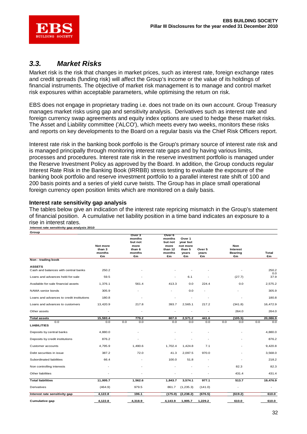

### *3.3. Market Risks*

Market risk is the risk that changes in market prices, such as interest rate, foreign exchange rates and credit spreads (funding risk) will affect the Group's income or the value of its holdings of financial instruments. The objective of market risk management is to manage and control market risk exposures within acceptable parameters, while optimising the return on risk.

EBS does not engage in proprietary trading i.e. does not trade on its own account. Group Treasury manages market risks using gap and sensitivity analysis. Derivatives such as interest rate and foreign currency swap agreements and equity index options are used to hedge these market risks. The Asset and Liability committee ('ALCO'), which meets every two weeks, monitors these risks and reports on key developments to the Board on a regular basis via the Chief Risk Officers report.

Interest rate risk in the banking book portfolio is the Group's primary source of interest rate risk and is managed principally through monitoring interest rate gaps and by having various limits, processes and procedures. Interest rate risk in the reserve investment portfolio is managed under the Reserve Investment Policy as approved by the Board. In addition, the Group conducts regular Interest Rate Risk in the Banking Book (IRRBB) stress testing to evaluate the exposure of the banking book portfolio and reserve investment portfolio to a parallel interest rate shift of 100 and 200 basis points and a series of yield curve twists. The Group has in place small operational foreign currency open position limits which are monitored on a daily basis.

#### **Interest rate sensitivity gap analysis**

The tables below give an indication of the interest rate repricing mismatch in the Group's statement of financial position. A cumulative net liability position in a time band indicates an exposure to a rise in interest rates.

#### **Interest rate sensitivity gap analysis 2010**

| Group                                                 |                        |                                               |                                                |                                          |             |                        |             |
|-------------------------------------------------------|------------------------|-----------------------------------------------|------------------------------------------------|------------------------------------------|-------------|------------------------|-------------|
|                                                       | Not more               | Over 3<br>months<br>but not<br>more<br>than 6 | Over 6<br>months<br>but not<br>more<br>than 12 | Over 1<br>year but<br>not more<br>than 5 | Over 5      | <b>Non</b><br>Interest |             |
|                                                       | than 3<br>months<br>€m | months<br>€m                                  | months<br>€m                                   | years<br>€m                              | years<br>€m | <b>Bearing</b><br>€m   | Total<br>€m |
| Non - trading book                                    |                        |                                               |                                                |                                          |             |                        |             |
| <b>ASSETS</b><br>Cash and balances with central banks | 250.2                  |                                               |                                                |                                          |             |                        | 250.2       |
| Loans and advances held-for-sale                      | 59.5                   |                                               |                                                | 6.1                                      |             | (27.7)                 | 0.0<br>37.9 |
| Available-for-sale financial assets                   | 1,376.1                | 561.4                                         | 413.3                                          | 0.0                                      | 224.4       | 0.0                    | 2,575.2     |
| NAMA senior bonds                                     | 305.9                  |                                               | ä,                                             | 0.0                                      |             |                        | 305.9       |
| Loans and advances to credit institutions             | 180.8                  |                                               |                                                |                                          |             |                        | 180.8       |
| Loans and advances to customers                       | 13,420.9               | 217.8                                         | 393.7                                          | 2,565.1                                  | 217.2       | (341.8)                | 16,472.9    |
| Other assets                                          |                        |                                               |                                                |                                          |             | 264.0                  | 264.0       |
| <b>Total assets</b>                                   | 15,593.4               | 779.2                                         | 807.0                                          | 2,571.2                                  | 441.6       | (105.5)                | 20,086.9    |
| 0.0<br><b>LIABILITIES</b>                             | 0.0                    | 0.0<br>0.0                                    | 0.0                                            | 0.0                                      | 0.0         | 0.0<br>0.0             | 0.0<br>0.0  |
| Deposits by central banks                             | 4,880.0                |                                               |                                                |                                          |             |                        | 4,880.0     |
| Deposits by credit institutions                       | 876.2                  |                                               |                                                |                                          |             |                        | 876.2       |
| Customer accounts                                     | 4,795.9                | 1,490.6                                       | 1,702.4                                        | 1,424.8                                  | 7.1         |                        | 9,420.8     |
| Debt securities in issue                              | 387.2                  | 72.0                                          | 41.3                                           | 2,097.5                                  | 970.0       |                        | 3,568.0     |
| Subordinated liabilities                              | 66.4                   |                                               | 100.0                                          | 51.8                                     |             |                        | 218.2       |
| Non controlling interests                             |                        |                                               |                                                |                                          |             | 82.3                   | 82.3        |
| Other liabilities                                     |                        |                                               |                                                |                                          |             | 431.4                  | 431.4       |
| <b>Total liabilities</b>                              | 11,005.7               | 1,562.6                                       | 1,843.7                                        | 3,574.1                                  | 977.1       | 513.7                  | 19,476.9    |
| Derivatives                                           | (464.9)                | 979.5                                         | 861.7                                          | (1, 235.3)                               | (141.0)     | ÷,                     | ä,          |
| Interest rate sensitivity gap                         | 4,122.8                | 196.1                                         | (175.0)                                        | (2, 238.2)                               | (676.5)     | (619.2)                | 610.0       |
| Cumulative gap                                        | 4,122.8                | 4,318.9                                       | 4,143.9                                        | 1,905.7                                  | 1,229.2     | 610.0                  | 610.0       |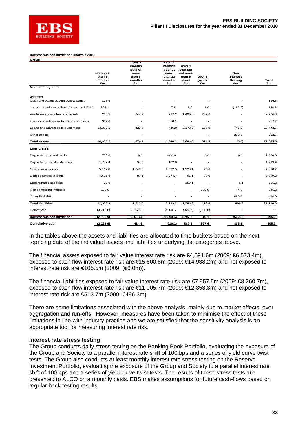

#### **Interest rate sensitivity gap analysis 2009**

| Group                                                 |                 |                   |                          |                          |                          |                |          |
|-------------------------------------------------------|-----------------|-------------------|--------------------------|--------------------------|--------------------------|----------------|----------|
|                                                       |                 | Over 3            | Over 6                   |                          |                          |                |          |
|                                                       |                 | months<br>but not | months<br>but not        | Over 1<br>year but       |                          |                |          |
|                                                       | <b>Not more</b> | more              | more                     | not more                 |                          | <b>Non</b>     |          |
|                                                       | than 3          | than 6            | than 12                  | than 5                   | Over 5                   | Interest       |          |
|                                                       | months          | months            | months                   | years                    | years                    | <b>Bearing</b> | Total    |
|                                                       | €m              | €m                | €m                       | €m                       | €m                       | €m             | €m       |
| Non - trading book                                    |                 |                   |                          |                          |                          |                |          |
| <b>ASSETS</b><br>Cash and balances with central banks | 196.5           |                   |                          |                          |                          |                | 196.5    |
|                                                       |                 |                   |                          |                          |                          |                |          |
| Loans and advances held-for-sale to NAMA              | 895.1           |                   | 7.8                      | 8.9                      | 1.0                      | (162.2)        | 750.6    |
| Available-for-sale financial assets                   | 208.5           | 244.7             | 737.2                    | 1,496.8                  | 237.6                    |                | 2,924.8  |
| Loans and advances to credit institutions             | 307.6           | ٠                 | 650.1                    |                          |                          |                | 957.7    |
| Loans and advances to customers                       | 13,330.5        | 429.5             | 445.0                    | 2,178.9                  | 135.9                    | (46.3)         | 16,473.5 |
| Other assets                                          |                 |                   |                          |                          |                          | 202.5          | 202.5    |
| <b>Total assets</b>                                   | 14,938.2        | 674.2             | 1,840.1                  | 3,684.6                  | 374.5                    | (6.0)          | 21,505.6 |
| <b>LIABILITIES</b>                                    |                 |                   |                          |                          |                          |                |          |
| Deposits by central banks                             | 700.0           | 0.0               | 1800.0                   |                          | 0.0                      | 0.0            | 2,500.0  |
| Deposits by credit institutions                       | 1,737.4         | 94.5              | 102.0                    |                          | $\overline{\phantom{a}}$ |                | 1,933.9  |
| Customer accounts                                     | 5,119.0         | 1,042.0           | 2,322.5                  | 1,323.1                  | 23.6                     |                | 9,830.2  |
| Debt securities in issue                              | 4,611.9         | 87.1              | 1,074.7                  | 91.1                     | 25.0                     | ٠              | 5,889.8  |
| Subordinated liabilities                              | 60.0            |                   | $\overline{\phantom{a}}$ | 150.1                    |                          | 5.1            | 215.2    |
| Non controlling interests                             | 125.0           |                   |                          | $\overline{\phantom{a}}$ | 125.0                    | (4.8)          | 245.2    |
| Other liabilities                                     |                 |                   |                          |                          |                          | 496.0          | 496.0    |
| <b>Total liabilities</b>                              | 12,353.3        | 1,223.6           | 5,299.2                  | 1,564.3                  | 173.6                    | 496.3          | 21,110.3 |
| Derivatives                                           | (4,713.8)       | 3,162.8           | 2,064.5                  | (322.7)                  | (190.8)                  |                |          |
| Interest rate sensitivity gap                         | (2, 128.9)      | 2,613.4           | (1, 394.6)               | 1,797.6                  | 10.1                     | (502.3)        | 395.3    |
| <b>Cumulative gap</b>                                 | (2, 128.9)      | 484.5             | (910.1)                  | 887.5                    | 897.6                    | 395.3          | 395.3    |

In the tables above the assets and liabilities are allocated to time buckets based on the next repricing date of the individual assets and liabilities underlying the categories above.

The financial assets exposed to fair value interest rate risk are €4,591.6m (2009: €6,573.4m), exposed to cash flow interest rate risk are €15,600.8m (2009: €14,938.2m) and not exposed to interest rate risk are €105.5m (2009: (€6.0m)).

The financial liabilities exposed to fair value interest rate risk are €7,957.5m (2009: €8,260.7m), exposed to cash flow interest rate risk are €11,005.7m (2009: €12,353.3m) and not exposed to interest rate risk are €513.7m (2009: €496.3m).

There are some limitations associated with the above analysis, mainly due to market effects, over aggregation and run-offs. However, measures have been taken to minimise the effect of these limitations in line with industry practice and we are satisfied that the sensitivity analysis is an appropriate tool for measuring interest rate risk.

#### **Interest rate stress testing**

The Group conducts daily stress testing on the Banking Book Portfolio, evaluating the exposure of the Group and Society to a parallel interest rate shift of 100 bps and a series of yield curve twist tests. The Group also conducts at least monthly interest rate stress testing on the Reserve Investment Portfolio, evaluating the exposure of the Group and Society to a parallel interest rate shift of 100 bps and a series of yield curve twist tests. The results of these stress tests are presented to ALCO on a monthly basis. EBS makes assumptions for future cash-flows based on regular back-testing results.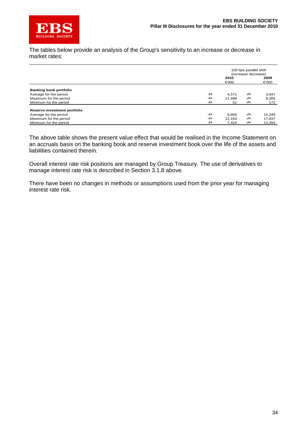

The tables below provide an analysis of the Group's sensitivity to an increase or decrease in market rates:

|                               |       | 100 bps parallel shift<br>(increase/ decrease) |     |        |
|-------------------------------|-------|------------------------------------------------|-----|--------|
|                               |       | 2010                                           |     | 2009   |
|                               |       | €000                                           |     | €000   |
| <b>Banking book portfolio</b> |       |                                                |     |        |
| Average for the period        | $-1+$ | 4.571                                          | -/+ | 3,947  |
| Maximum for the period        | -/+   | 11.488                                         | -/+ | 8,365  |
| Minimum for the period        | $-1+$ | 51                                             | -/+ | 172    |
| Reserve investment portfolio  |       |                                                |     |        |
| Average for the period        | $-1+$ | 9,856                                          | -/+ | 15,249 |
| Maximum for the period        | $-1+$ | 12.163                                         | -/+ | 17.837 |
| Minimum for the period        | $-1+$ | 7.424                                          | -/+ | 12,393 |

The above table shows the present value effect that would be realised in the Income Statement on an accruals basis on the banking book and reserve investment book over the life of the assets and liabilities contained therein.

Overall interest rate risk positions are managed by Group Treasury. The use of derivatives to manage interest rate risk is described in Section 3.1.8 above.

There have been no changes in methods or assumptions used from the prior year for managing interest rate risk.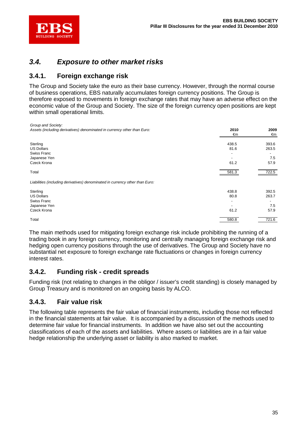

### *3.4. Exposure to other market risks*

### **3.4.1. Foreign exchange risk**

The Group and Society take the euro as their base currency. However, through the normal course of business operations, EBS naturally accumulates foreign currency positions. The Group is therefore exposed to movements in foreign exchange rates that may have an adverse effect on the economic value of the Group and Society. The size of the foreign currency open positions are kept within small operational limits.

| Group and Society:                                                           |       |       |
|------------------------------------------------------------------------------|-------|-------|
| Assets (including derivatives) denominated in currency other than Euro:      | 2010  | 2009  |
|                                                                              | €m    | €m    |
| Sterling                                                                     | 438.5 | 393.6 |
| <b>US Dollars</b>                                                            | 81.6  | 263.5 |
| Swiss Franc                                                                  |       |       |
| Japanese Yen                                                                 |       | 7.5   |
| Czeck Krona                                                                  | 61.2  | 57.9  |
| Total                                                                        | 581.3 | 722.5 |
| Liabilities (including derivatives) denominated in currency other than Euro: |       |       |
| Sterling                                                                     | 438.8 | 392.5 |
| <b>US Dollars</b>                                                            | 80.8  | 263.7 |
| Swiss Franc                                                                  |       |       |
| Japanese Yen                                                                 |       | 7.5   |
| Czeck Krona                                                                  | 61.2  | 57.9  |
| Total                                                                        | 580.8 | 721.6 |

The main methods used for mitigating foreign exchange risk include prohibiting the running of a trading book in any foreign currency, monitoring and centrally managing foreign exchange risk and hedging open currency positions through the use of derivatives. The Group and Society have no substantial net exposure to foreign exchange rate fluctuations or changes in foreign currency interest rates.

### **3.4.2. Funding risk - credit spreads**

Funding risk (not relating to changes in the obligor / issuer's credit standing) is closely managed by Group Treasury and is monitored on an ongoing basis by ALCO.

### **3.4.3. Fair value risk**

The following table represents the fair value of financial instruments, including those not reflected in the financial statements at fair value. It is accompanied by a discussion of the methods used to determine fair value for financial instruments. In addition we have also set out the accounting classifications of each of the assets and liabilities. Where assets or liabilities are in a fair value hedge relationship the underlying asset or liability is also marked to market.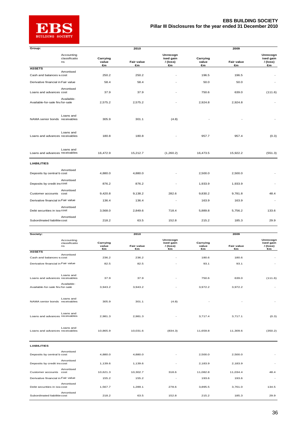

| Group:                             |                                   |                         | 2010                              |                                         |                         | 2009                              |                                        |
|------------------------------------|-----------------------------------|-------------------------|-----------------------------------|-----------------------------------------|-------------------------|-----------------------------------|----------------------------------------|
|                                    | Accounting<br>classificatio<br>ns | Carrying<br>value       | <b>Fair value</b>                 | Unrecogn<br>ised gain<br>/ (loss)       | Carrying<br>value       | <b>Fair value</b>                 | Unrecogn<br>ised gain<br>/(loss)       |
| <b>ASSETS</b>                      |                                   | €m                      | $\epsilon$ m                      | €m                                      | €m                      | $\epsilon$ m                      | €m                                     |
| Cash and balances wcost            | Amortised                         | 250.2                   | 250.2                             |                                         | 196.5                   | 196.5                             |                                        |
| Derivative financial in Fair value |                                   | 58.4                    | 58.4                              |                                         | 50.0                    | 50.0                              |                                        |
|                                    |                                   |                         |                                   |                                         |                         |                                   |                                        |
| Loans and advances cost            | Amortised                         | 37.9                    | 37.9                              |                                         | 750.6                   | 639.0                             | (111.6)                                |
| Available-for-sale finafor-sale    | Available-                        | 2,575.2                 | 2,575.2                           |                                         | 2,924.8                 | 2,924.8                           |                                        |
| NAMA senior bonds receivables      | Loans and                         | 305.9                   | 301.1                             | (4.8)                                   |                         |                                   |                                        |
| Loans and advances receivables     | Loans and                         | 180.8                   | 180.8                             |                                         | 957.7                   | 957.4                             | (0.3)                                  |
| Loans and advances receivables     | Loans and                         | 16,472.9                | 15,212.7                          | (1,260.2)                               | 16,473.5                | 15,922.2                          | (551.3)                                |
| <b>LIABILITIES</b>                 |                                   |                         |                                   |                                         |                         |                                   |                                        |
| Deposits by central b cost         | Amortised                         | 4,880.0                 | 4,880.0                           |                                         | 2,500.0                 | 2,500.0                           |                                        |
| Deposits by credit inscost         | Amortised                         | 876.2                   | 876.2                             |                                         | 1,933.9                 | 1,933.9                           |                                        |
| Customer accounts                  | Amortised<br>cost                 | 9,420.8                 | 9,138.2                           | 282.6                                   | 9,830.2                 | 9,781.8                           | 48.4                                   |
| Derivative financial in Fair value |                                   | 136.4                   | 136.4                             |                                         | 163.9                   | 163.9                             |                                        |
| Debt securities in issucost        | Amortised                         | 3,568.0                 | 2,849.6                           | 718.4                                   | 5,889.8                 | 5,756.2                           | 133.6                                  |
| Subordinated liabilitie cost       | Amortised                         | 218.2                   | 63.5                              | 152.8                                   | 215.2                   | 185.3                             | 29.9                                   |
|                                    |                                   |                         |                                   |                                         |                         |                                   |                                        |
| Society:                           |                                   |                         | 2010                              |                                         |                         | 2009                              |                                        |
|                                    | Accounting<br>classificatio<br>ns | Carrying<br>value<br>€m | <b>Fair value</b><br>$\epsilon$ m | Unrecogn<br>ised gain<br>/ (loss)<br>€m | Carrying<br>value<br>€m | <b>Fair value</b><br>$\epsilon$ m | Unrecogn<br>ised gain<br>/(loss)<br>€m |
| <b>ASSETS</b>                      | Amortised                         |                         |                                   |                                         |                         |                                   |                                        |
| Cash and balances wcost            |                                   | 236.2                   | 236.2                             |                                         | 180.6                   | 180.6                             |                                        |
| Derivative financial in Fair value |                                   | 82.5                    | 82.5                              |                                         | 93.1                    | 93.1                              |                                        |
| Loans and advances receivables     | Loans and                         | 37.9                    | 37.9                              |                                         | 750.6                   | 639.0                             | (111.6)                                |
| Available-for-sale finafor-sale    | Available-                        | 3,943.2                 | 3,943.2                           |                                         | 3,972.2                 | 3,972.2                           |                                        |
| NAMA senior bonds receivables      | Loans and                         | 305.9                   | 301.1                             | (4.8)                                   |                         |                                   |                                        |
|                                    | Loans and                         |                         |                                   |                                         |                         |                                   |                                        |
| Loans and advances receivables     |                                   | 2,981.3                 | 2,981.3                           |                                         | 3,717.4                 | 3,717.1                           | (0.3)                                  |
| Loans and advances receivables     | Loans and                         | 10,865.9                | 10,031.6                          | (834.3)                                 | 11,659.8                | 11,309.6                          | (350.2)                                |
| <b>LIABILITIES</b>                 |                                   |                         |                                   |                                         |                         |                                   |                                        |
| Deposits by central b cost         | Amortised                         | 4,880.0                 | 4,880.0                           |                                         | 2,500.0                 | 2,500.0                           |                                        |
| Deposits by credit inscost         | Amortised                         | 1,139.6                 | 1,139.6                           |                                         | 2,183.9                 | 2,183.9                           |                                        |
| Customer accounts cost             | Amortised                         | 10,621.3                | 10,302.7                          | 318.6                                   | 11,082.8                | 11,034.4                          | 48.4                                   |
| Derivative financial in Fair value |                                   | 155.2                   | 155.2                             |                                         | 193.6                   | 193.6                             |                                        |
| Debt securities in issucost        | Amortised                         | 1,567.7                 | 1,289.1                           | 278.6                                   | 3,895.5                 | 3,761.0                           | 134.5                                  |
| Subordinated liabilitie cost       | Amortised                         | 218.2                   | 63.5                              | 152.8                                   | 215.2                   | 185.3                             | 29.9                                   |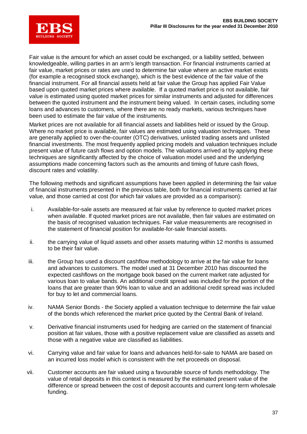

Fair value is the amount for which an asset could be exchanged, or a liability settled, between knowledgeable, willing parties in an arm's length transaction. For financial instruments carried at fair value, market prices or rates are used to determine fair value where an active market exists (for example a recognised stock exchange), which is the best evidence of the fair value of the financial instrument. For all financial assets held at fair value the Group has applied Fair Value based upon quoted market prices where available. If a quoted market price is not available, fair value is estimated using quoted market prices for similar instruments and adjusted for differences between the quoted instrument and the instrument being valued. In certain cases, including some loans and advances to customers, where there are no ready markets, various techniques have been used to estimate the fair value of the instruments.

Market prices are not available for all financial assets and liabilities held or issued by the Group. Where no market price is available, fair values are estimated using valuation techniques. These are generally applied to over-the-counter (OTC) derivatives, unlisted trading assets and unlisted financial investments. The most frequently applied pricing models and valuation techniques include present value of future cash flows and option models. The valuations arrived at by applying these techniques are significantly affected by the choice of valuation model used and the underlying assumptions made concerning factors such as the amounts and timing of future cash flows, discount rates and volatility.

The following methods and significant assumptions have been applied in determining the fair value of financial instruments presented in the previous table, both for financial instruments carried at fair value, and those carried at cost (for which fair values are provided as a comparison):

- i. Available-for-sale assets are measured at fair value by reference to quoted market prices when available. If quoted market prices are not available, then fair values are estimated on the basis of recognised valuation techniques. Fair value measurements are recognised in the statement of financial position for available-for-sale financial assets.
- ii. the carrying value of liquid assets and other assets maturing within 12 months is assumed to be their fair value.
- iii. the Group has used a discount cashflow methodology to arrive at the fair value for loans and advances to customers. The model used at 31 December 2010 has discounted the expected cashflows on the mortgage book based on the current market rate adjusted for various loan to value bands. An additional credit spread was included for the portion of the loans that are greater than 90% loan to value and an additional credit spread was included for buy to let and commercial loans.
- iv. NAMA Senior Bonds the Society applied a valuation technique to determine the fair value of the bonds which referenced the market price quoted by the Central Bank of Ireland.
- v. Derivative financial instruments used for hedging are carried on the statement of financial position at fair values, those with a positive replacement value are classified as assets and those with a negative value are classified as liabilities.
- vi. Carrying value and fair value for loans and advances held-for-sale to NAMA are based on an incurred loss model which is consistent with the net proceeds on disposal.
- vii. Customer accounts are fair valued using a favourable source of funds methodology. The value of retail deposits in this context is measured by the estimated present value of the difference or spread between the cost of deposit accounts and current long-term wholesale funding.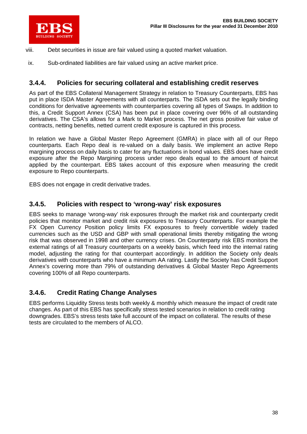

- viii. Debt securities in issue are fair valued using a quoted market valuation.
- ix. Sub-ordinated liabilities are fair valued using an active market price.

### **3.4.4. Policies for securing collateral and establishing credit reserves**

As part of the EBS Collateral Management Strategy in relation to Treasury Counterparts, EBS has put in place ISDA Master Agreements with all counterparts. The ISDA sets out the legally binding conditions for derivative agreements with counterparties covering all types of Swaps. In addition to this, a Credit Support Annex (CSA) has been put in place covering over 96% of all outstanding derivatives. The CSA's allows for a Mark to Market process. The net gross positive fair value of contracts, netting benefits, netted current credit exposure is captured in this process.

In relation we have a Global Master Repo Agreement (GMRA) in place with all of our Repo counterparts. Each Repo deal is re-valued on a daily basis. We implement an active Repo margining process on daily basis to cater for any fluctuations in bond values. EBS does have credit exposure after the Repo Margining process under repo deals equal to the amount of haircut applied by the counterpart. EBS takes account of this exposure when measuring the credit exposure to Repo counterparts.

EBS does not engage in credit derivative trades.

### **3.4.5. Policies with respect to 'wrong-way' risk exposures**

EBS seeks to manage 'wrong-way' risk exposures through the market risk and counterparty credit policies that monitor market and credit risk exposures to Treasury Counterparts. For example the FX Open Currency Position policy limits FX exposures to freely convertible widely traded currencies such as the USD and GBP with small operational limits thereby mitigating the wrong risk that was observed in 1998 and other currency crises. On Counterparty risk EBS monitors the external ratings of all Treasury counterparts on a weekly basis, which feed into the internal rating model, adjusting the rating for that counterpart accordingly. In addition the Society only deals derivatives with counterparts who have a minimum AA rating. Lastly the Society has Credit Support Annex's covering more than 79% of outstanding derivatives & Global Master Repo Agreements covering 100% of all Repo counterparts.

### **3.4.6. Credit Rating Change Analyses**

EBS performs Liquidity Stress tests both weekly & monthly which measure the impact of credit rate changes. As part of this EBS has specifically stress tested scenarios in relation to credit rating downgrades. EBS's stress tests take full account of the impact on collateral. The results of these tests are circulated to the members of ALCO.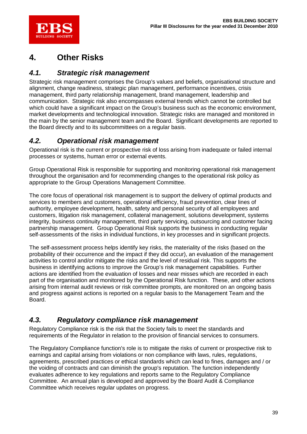

## **4. Other Risks**

### *4.1. Strategic risk management*

Strategic risk management comprises the Group's values and beliefs, organisational structure and alignment, change readiness, strategic plan management, performance incentives, crisis management, third party relationship management, brand management, leadership and communication. Strategic risk also encompasses external trends which cannot be controlled but which could have a significant impact on the Group's business such as the economic environment, market developments and technological innovation. Strategic risks are managed and monitored in the main by the senior management team and the Board. Significant developments are reported to the Board directly and to its subcommittees on a regular basis.

### *4.2. Operational risk management*

Operational risk is the current or prospective risk of loss arising from inadequate or failed internal processes or systems, human error or external events.

Group Operational Risk is responsible for supporting and monitoring operational risk management throughout the organisation and for recommending changes to the operational risk policy as appropriate to the Group Operations Management Committee.

The core focus of operational risk management is to support the delivery of optimal products and services to members and customers, operational efficiency, fraud prevention, clear lines of authority, employee development, health, safety and personal security of all employees and customers, litigation risk management, collateral management, solutions development, systems integrity, business continuity management, third party servicing, outsourcing and customer facing partnership management. Group Operational Risk supports the business in conducting regular self-assessments of the risks in individual functions, in key processes and in significant projects.

The self-assessment process helps identify key risks, the materiality of the risks (based on the probability of their occurrence and the impact if they did occur), an evaluation of the management activities to control and/or mitigate the risks and the level of residual risk. This supports the business in identifying actions to improve the Group's risk management capabilities. Further actions are identified from the evaluation of losses and near misses which are recorded in each part of the organisation and monitored by the Operational Risk function. These, and other actions arising from internal audit reviews or risk committee prompts, are monitored on an ongoing basis and progress against actions is reported on a regular basis to the Management Team and the Board.

### *4.3. Regulatory compliance risk management*

Regulatory Compliance risk is the risk that the Society fails to meet the standards and requirements of the Regulator in relation to the provision of financial services to consumers.

The Regulatory Compliance function's role is to mitigate the risks of current or prospective risk to earnings and capital arising from violations or non compliance with laws, rules, regulations, agreements, prescribed practices or ethical standards which can lead to fines, damages and / or the voiding of contracts and can diminish the group's reputation. The function independently evaluates adherence to key regulations and reports same to the Regulatory Compliance Committee. An annual plan is developed and approved by the Board Audit & Compliance Committee which receives regular updates on progress.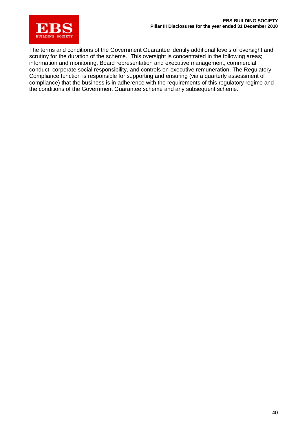

The terms and conditions of the Government Guarantee identify additional levels of oversight and scrutiny for the duration of the scheme. This oversight is concentrated in the following areas; information and monitoring, Board representation and executive management, commercial conduct, corporate social responsibility, and controls on executive remuneration. The Regulatory Compliance function is responsible for supporting and ensuring (via a quarterly assessment of compliance) that the business is in adherence with the requirements of this regulatory regime and the conditions of the Government Guarantee scheme and any subsequent scheme.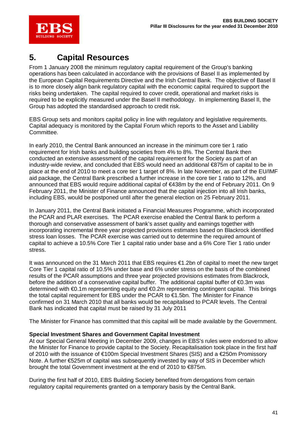

## **5. Capital Resources**

From 1 January 2008 the minimum regulatory capital requirement of the Group's banking operations has been calculated in accordance with the provisions of Basel II as implemented by the European Capital Requirements Directive and the Irish Central Bank. The objective of Basel II is to more closely align bank regulatory capital with the economic capital required to support the risks being undertaken. The capital required to cover credit, operational and market risks is required to be explicitly measured under the Basel II methodology. In implementing Basel II, the Group has adopted the standardised approach to credit risk.

EBS Group sets and monitors capital policy in line with regulatory and legislative requirements. Capital adequacy is monitored by the Capital Forum which reports to the Asset and Liability Committee.

In early 2010, the Central Bank announced an increase in the minimum core tier 1 ratio requirement for Irish banks and building societies from 4% to 8%. The Central Bank then conducted an extensive assessment of the capital requirement for the Society as part of an industry-wide review, and concluded that EBS would need an additional €875m of capital to be in place at the end of 2010 to meet a core tier 1 target of 8%. In late November, as part of the EU/IMF aid package, the Central Bank prescribed a further increase in the core tier 1 ratio to 12%, and announced that EBS would require additional capital of €438m by the end of February 2011. On 9 February 2011, the Minister of Finance announced that the capital injection into all Irish banks, including EBS, would be postponed until after the general election on 25 February 2011.

In January 2011, the Central Bank initiated a Financial Measures Programme, which incorporated the PCAR and PLAR exercises. The PCAR exercise enabled the Central Bank to perform a thorough and conservative assessment of bank's asset quality and earnings together with incorporating incremental three year projected provisions estimates based on Blackrock identified stress loan losses. The PCAR exercise was carried out to determine the required amount of capital to achieve a 10.5% Core Tier 1 capital ratio under base and a 6% Core Tier 1 ratio under stress.

It was announced on the 31 March 2011 that EBS requires €1.2bn of capital to meet the new target Core Tier 1 capital ratio of 10.5% under base and 6% under stress on the basis of the combined results of the PCAR assumptions and three year projected provisions estimates from Blackrock, before the addition of a conservative capital buffer. The additional capital buffer of  $\epsilon$ 0.3m was determined with €0.1m representing equity and €0.2m representing contingent capital. This brings the total capital requirement for EBS under the PCAR to €1.5bn. The Minister for Finance confirmed on 31 March 2010 that all banks would be recapitalised to PCAR levels. The Central Bank has indicated that capital must be raised by 31 July 2011

The Minister for Finance has committed that this capital will be made available by the Government.

#### **Special Investment Shares and Government Capital Investment**

At our Special General Meeting in December 2009, changes in EBS's rules were endorsed to allow the Minister for Finance to provide capital to the Society. Recapitalisation took place in the first half of 2010 with the issuance of €100m Special Investment Shares (SIS) and a €250m Promissory Note. A further €525m of capital was subsequently invested by way of SIS in December which brought the total Government investment at the end of 2010 to €875m.

During the first half of 2010, EBS Building Society benefited from derogations from certain regulatory capital requirements granted on a temporary basis by the Central Bank.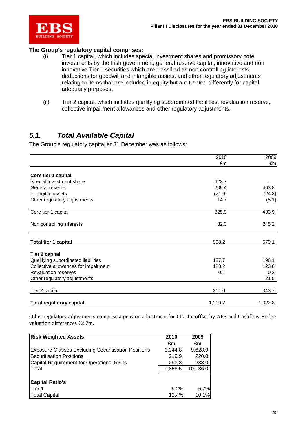

#### **The Group's regulatory capital comprises;**

- (i) Tier 1 capital, which includes special investment shares and promissory note investments by the Irish government, general reserve capital, innovative and non innovative Tier 1 securities which are classified as non controlling interests, deductions for goodwill and intangible assets, and other regulatory adjustments relating to items that are included in equity but are treated differently for capital adequacy purposes.
- (ii) Tier 2 capital, which includes qualifying subordinated liabilities, revaluation reserve, collective impairment allowances and other regulatory adjustments.

### *5.1. Total Available Capital*

The Group's regulatory capital at 31 December was as follows:

|                                      | 2010    | 2009    |
|--------------------------------------|---------|---------|
|                                      | €m      | €m      |
| Core tier 1 capital                  |         |         |
| Special investment share             | 623.7   |         |
| General reserve                      | 209.4   | 463.8   |
| Intangible assets                    | (21.9)  | (24.8)  |
| Other regulatory adjustments         | 14.7    | (5.1)   |
| Core tier 1 capital                  | 825.9   | 433.9   |
| Non controlling interests            | 82.3    | 245.2   |
| Total tier 1 capital                 | 908.2   | 679.1   |
| <b>Tier 2 capital</b>                |         |         |
| Qualifying subordinated liabilities  | 187.7   | 198.1   |
| Collective allowances for impairment | 123.2   | 123.8   |
| <b>Revaluation reserves</b>          | 0.1     | 0.3     |
| Other regulatory adjustments         |         | 21.5    |
| Tier 2 capital                       | 311.0   | 343.7   |
| <b>Total regulatory capital</b>      | 1,219.2 | 1,022.8 |

Other regulatory adjustments comprise a pension adjustment for €17.4m offset by AFS and Cashflow Hedge valuation differences €2.7m.

| <b>Risk Weighted Assets</b>                                | 2010    | 2009     |
|------------------------------------------------------------|---------|----------|
|                                                            | €m      | €m       |
| <b>Exposure Classes Excluding Securitisation Positions</b> | 9,344.8 | 9,628.0  |
| Securitisation Positions                                   | 219.9   | 220.0    |
| Capital Requirement for Operational Risks                  | 293.8   | 288.0    |
| <b>T</b> otal                                              | 9,858.5 | 10,136.0 |
|                                                            |         |          |
| <b>Capital Ratio's</b>                                     |         |          |
| <b>Tier 1</b>                                              | 9.2%    | 6.7%     |
| <b>Total Capital</b>                                       | 12.4%   | 10.1%    |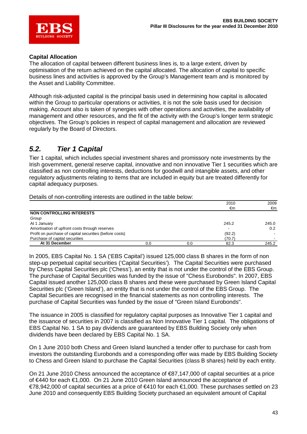

#### **Capital Allocation**

The allocation of capital between different business lines is, to a large extent, driven by optimisation of the return achieved on the capital allocated. The allocation of capital to specific business lines and activities is approved by the Group's Management team and is monitored by the Asset and Liability Committee.

Although risk-adjusted capital is the principal basis used in determining how capital is allocated within the Group to particular operations or activities, it is not the sole basis used for decision making. Account also is taken of synergies with other operations and activities, the availability of management and other resources, and the fit of the activity with the Group's longer term strategic objectives. The Group's policies in respect of capital management and allocation are reviewed regularly by the Board of Directors.

### *5.2. Tier 1 Capital*

Tier 1 capital, which includes special investment shares and promissory note investments by the Irish government, general reserve capital, innovative and non innovative Tier 1 securities which are classified as non controlling interests, deductions for goodwill and intangible assets, and other regulatory adjustments relating to items that are included in equity but are treated differently for capital adequacy purposes.

|                                                         |     |     | 2010   | 2009          |
|---------------------------------------------------------|-----|-----|--------|---------------|
|                                                         |     |     | €m     | €m            |
| <b>NON CONTROLLING INTERESTS</b>                        |     |     |        |               |
| Group                                                   |     |     |        |               |
| At 1 January                                            |     |     | 245.2  | 245.0         |
| Amortisation of upfront costs through reserves          |     |     |        | $0.2^{\circ}$ |
| Profit on purchase of capital securities (before costs) |     |     | (92.2) |               |
| Purchase of capital securities                          |     |     | (70.7) |               |
| At 31 December                                          | 0.0 | 0.0 | 82.3   | 245.2         |

Details of non-controlling interests are outlined in the table below:

In 2005, EBS Capital No. 1 SA ('EBS Capital') issued 125,000 class B shares in the form of non step-up perpetual capital securities ('Capital Securities'). The Capital Securities were purchased by Chess Capital Securities plc ('Chess'), an entity that is not under the control of the EBS Group. The purchase of Capital Securities was funded by the issue of "Chess Eurobonds". In 2007, EBS Capital issued another 125,000 class B shares and these were purchased by Green Island Capital Securities plc ('Green Island'), an entity that is not under the control of the EBS Group. The Capital Securities are recognised in the financial statements as non controlling interests. The purchase of Capital Securities was funded by the issue of "Green Island Eurobonds".

The issuance in 2005 is classified for regulatory capital purposes as Innovative Tier 1 capital and the issuance of securities in 2007 is classified as Non Innovative Tier 1 capital. The obligations of EBS Capital No. 1 SA to pay dividends are guaranteed by EBS Building Society only when dividends have been declared by EBS Capital No. 1 SA.

On 1 June 2010 both Chess and Green Island launched a tender offer to purchase for cash from investors the outstanding Eurobonds and a corresponding offer was made by EBS Building Society to Chess and Green Island to purchase the Capital Securities (class B shares) held by each entity.

On 21 June 2010 Chess announced the acceptance of €87,147,000 of capital securities at a price of €440 for each €1,000. On 21 June 2010 Green Island announced the acceptance of €78,942,000 of capital securities at a price of €410 for each €1,000. These purchases settled on 23 June 2010 and consequently EBS Building Society purchased an equivalent amount of Capital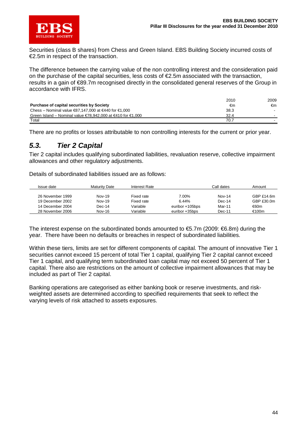

Securities (class B shares) from Chess and Green Island. EBS Building Society incurred costs of €2.5m in respect of the transaction.

The difference between the carrying value of the non controlling interest and the consideration paid on the purchase of the capital securities, less costs of €2.5m associated with the transaction, results in a gain of €89.7m recognised directly in the consolidated general reserves of the Group in accordance with IFRS.

|                                                                                           | 2010 | 2009 |
|-------------------------------------------------------------------------------------------|------|------|
| <b>Purchase of capital securities by Society</b>                                          | €m   | €m   |
| Chess – Nominal value €87,147,000 at €440 for €1,000                                      | 38.3 |      |
| Green Island – Nominal value $\epsilon$ 78.942.000 at $\epsilon$ 410 for $\epsilon$ 1.000 | 32.4 |      |
| Total                                                                                     | 70.7 |      |

There are no profits or losses attributable to non controlling interests for the current or prior year.

### *5.3. Tier 2 Capital*

Tier 2 capital includes qualifying subordinated liabilities, revaluation reserve, collective impairment allowances and other regulatory adjustments.

Details of subordinated liabilities issued are as follows:

| Issue date       | Maturity Date | Interest Rate |                 | Call dates | Amount       |
|------------------|---------------|---------------|-----------------|------------|--------------|
|                  |               |               |                 |            |              |
| 26 November 1999 | Nov-19        | Fixed rate    | 7.00%           | $Nov-14$   | GBP $£14.6m$ |
| 19 December 2002 | Nov-19        | Fixed rate    | 6.44%           | $Dec-14$   | GBP £30.0m   |
| 14 December 2004 | Dec-14        | Variable      | euribor +105bps | Mar-11     | €60m         |
| 28 November 2006 | Nov-16        | Variable      | euribor +35bps  | Dec-11     | €100m        |

The interest expense on the subordinated bonds amounted to  $\text{E}5.7m$  (2009:  $\text{E}6.8m$ ) during the year. There have been no defaults or breaches in respect of subordinated liabilities.

Within these tiers, limits are set for different components of capital. The amount of innovative Tier 1 securities cannot exceed 15 percent of total Tier 1 capital, qualifying Tier 2 capital cannot exceed Tier 1 capital, and qualifying term subordinated loan capital may not exceed 50 percent of Tier 1 capital. There also are restrictions on the amount of collective impairment allowances that may be included as part of Tier 2 capital.

Banking operations are categorised as either banking book or reserve investments, and riskweighted assets are determined according to specified requirements that seek to reflect the varying levels of risk attached to assets exposures.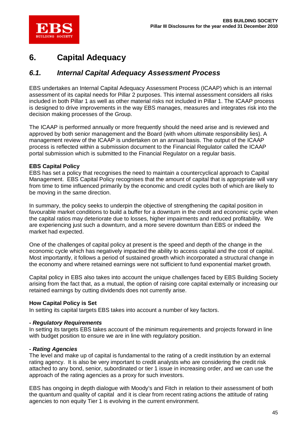

## **6. Capital Adequacy**

### *6.1. Internal Capital Adequacy Assessment Process*

EBS undertakes an Internal Capital Adequacy Assessment Process (ICAAP) which is an internal assessment of its capital needs for Pillar 2 purposes. This internal assessment considers all risks included in both Pillar 1 as well as other material risks not included in Pillar 1. The ICAAP process is designed to drive improvements in the way EBS manages, measures and integrates risk into the decision making processes of the Group.

The ICAAP is performed annually or more frequently should the need arise and is reviewed and approved by both senior management and the Board (with whom ultimate responsibility lies). A management review of the ICAAP is undertaken on an annual basis. The output of the ICAAP process is reflected within a submission document to the Financial Regulator called the ICAAP portal submission which is submitted to the Financial Regulator on a regular basis.

#### **EBS Capital Policy**

EBS has set a policy that recognises the need to maintain a countercyclical approach to Capital Management. EBS Capital Policy recognises that the amount of capital that is appropriate will vary from time to time influenced primarily by the economic and credit cycles both of which are likely to be moving in the same direction.

In summary, the policy seeks to underpin the objective of strengthening the capital position in favourable market conditions to build a buffer for a downturn in the credit and economic cycle when the capital ratios may deteriorate due to losses, higher impairments and reduced profitability. We are experiencing just such a downturn, and a more severe downturn than EBS or indeed the market had expected.

One of the challenges of capital policy at present is the speed and depth of the change in the economic cycle which has negatively impacted the ability to access capital and the cost of capital. Most importantly, it follows a period of sustained growth which incorporated a structural change in the economy and where retained earnings were not sufficient to fund exponential market growth.

Capital policy in EBS also takes into account the unique challenges faced by EBS Building Society arising from the fact that, as a mutual, the option of raising core capital externally or increasing our retained earnings by cutting dividends does not currently arise.

#### **How Capital Policy is Set**

In setting its capital targets EBS takes into account a number of key factors.

#### *- Regulatory Requirements*

In setting its targets EBS takes account of the minimum requirements and projects forward in line with budget position to ensure we are in line with regulatory position.

#### *- Rating Agencies*

The level and make up of capital is fundamental to the rating of a credit institution by an external rating agency. It is also be very important to credit analysts who are considering the credit risk attached to any bond, senior, subordinated or tier 1 issue in increasing order, and we can use the approach of the rating agencies as a proxy for such investors.

EBS has ongoing in depth dialogue with Moody's and Fitch in relation to their assessment of both the quantum and quality of capital and it is clear from recent rating actions the attitude of rating agencies to non equity Tier 1 is evolving in the current environment.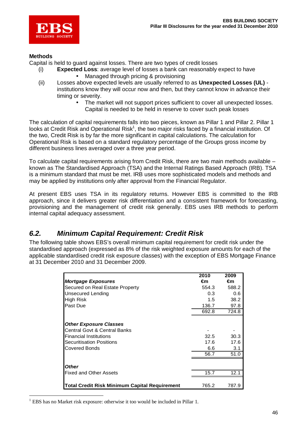

#### **Methods**

Capital is held to guard against losses. There are two types of credit losses

- (i) **Expected Loss**: average level of losses a bank can reasonably expect to have • Managed through pricing & provisioning
- (ii) Losses above expected levels are usually referred to as **Unexpected Losses (UL)**  institutions know they will occur now and then, but they cannot know in advance their timing or severity.
	- The market will not support prices sufficient to cover all unexpected losses. Capital is needed to be held in reserve to cover such peak losses

The calculation of capital requirements falls into two pieces, known as Pillar 1 and Pillar 2. Pillar 1 looks at Credit Risk and Operational Risk<sup>1</sup>, the two major risks faced by a financial institution. Of the two, Credit Risk is by far the more significant in capital calculations. The calculation for Operational Risk is based on a standard regulatory percentage of the Groups gross income by different business lines averaged over a three year period.

To calculate capital requirements arising from Credit Risk, there are two main methods available – known as The Standardised Approach (TSA) and the Internal Ratings Based Approach (IRB). TSA is a minimum standard that must be met. IRB uses more sophisticated models and methods and may be applied by institutions only after approval from the Financial Regulator.

At present EBS uses TSA in its regulatory returns. However EBS is committed to the IRB approach, since it delivers greater risk differentiation and a consistent framework for forecasting, provisioning and the management of credit risk generally. EBS uses IRB methods to perform internal capital adequacy assessment.

### *6.2. Minimum Capital Requirement: Credit Risk*

The following table shows EBS's overall minimum capital requirement for credit risk under the standardised approach (expressed as 8% of the risk weighted exposure amounts for each of the applicable standardised credit risk exposure classes) with the exception of EBS Mortgage Finance at 31 December 2010 and 31 December 2009.

|                                               | 2010  | 2009  |
|-----------------------------------------------|-------|-------|
| <b>Mortgage Exposures</b>                     | €m    | €m    |
| Secured on Real Estate Property               | 554.3 | 588.2 |
| <b>Unsecured Lending</b>                      | 0.3   | 0.6   |
| High Risk                                     | 1.5   | 38.2  |
| <b>Past Due</b>                               | 136.7 | 97.8  |
|                                               | 692.8 | 724.8 |
|                                               |       |       |
| <b>Other Exposure Classes</b>                 |       |       |
| Central Govt & Central Banks                  |       |       |
| lFinancial Institutions                       | 32.5  | 30.3  |
| <b>Securitisation Positions</b>               | 17.6  | 17.6  |
| <b>Covered Bonds</b>                          | 6.6   | 3.1   |
|                                               | 56.7  | 51.0  |
|                                               |       |       |
| <b>Other</b>                                  |       |       |
| <b>Fixed and Other Assets</b>                 | 15.7  | 12.1  |
|                                               |       |       |
| Total Credit Risk Minimum Capital Requirement | 765.2 | 787.9 |

 $\overline{a}$ <sup>1</sup> EBS has no Market risk exposure: otherwise it too would be included in Pillar 1.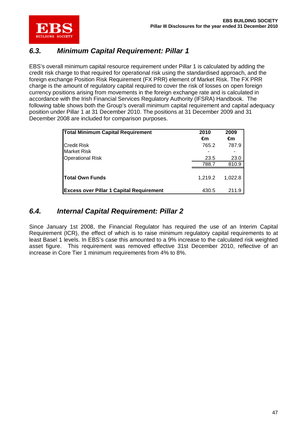

### *6.3. Minimum Capital Requirement: Pillar 1*

EBS's overall minimum capital resource requirement under Pillar 1 is calculated by adding the credit risk charge to that required for operational risk using the standardised approach, and the foreign exchange Position Risk Requirement (FX PRR) element of Market Risk. The FX PRR charge is the amount of regulatory capital required to cover the risk of losses on open foreign currency positions arising from movements in the foreign exchange rate and is calculated in accordance with the Irish Financial Services Regulatory Authority (IFSRA) Handbook. The following table shows both the Group's overall minimum capital requirement and capital adequacy position under Pillar 1 at 31 December 2010. The positions at 31 December 2009 and 31 December 2008 are included for comparison purposes.

| <b>Total Minimum Capital Requirement</b>        | 2010<br>€m    | 2009<br>€m    |
|-------------------------------------------------|---------------|---------------|
| <b>Credit Risk</b>                              | 765.2         | 787.9         |
| <b>Market Risk</b>                              |               |               |
| <b>Operational Risk</b>                         | 23.5<br>788.7 | 23.0<br>810.9 |
|                                                 |               |               |
| Total Own Funds                                 | 1.219.2       | 1.022.8       |
| <b>Excess over Pillar 1 Capital Requirement</b> | 430.5         | 211.9         |

### *6.4. Internal Capital Requirement: Pillar 2*

Since January 1st 2008, the Financial Regulator has required the use of an Interim Capital Requirement (ICR), the effect of which is to raise minimum regulatory capital requirements to at least Basel 1 levels. In EBS's case this amounted to a 9% increase to the calculated risk weighted asset figure. This requirement was removed effective 31st December 2010, reflective of an increase in Core Tier 1 minimum requirements from 4% to 8%.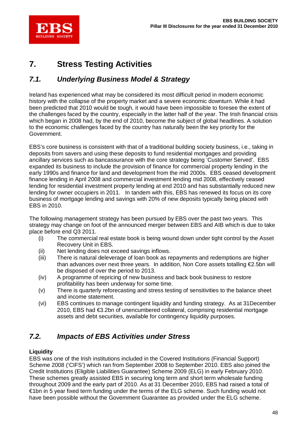

## **7. Stress Testing Activities**

### *7.1. Underlying Business Model & Strategy*

Ireland has experienced what may be considered its most difficult period in modern economic history with the collapse of the property market and a severe economic downturn. While it had been predicted that 2010 would be tough, it would have been impossible to foresee the extent of the challenges faced by the country, especially in the latter half of the year. The Irish financial crisis which began in 2008 had, by the end of 2010, become the subject of global headlines. A solution to the economic challenges faced by the country has naturally been the key priority for the Government.

EBS's core business is consistent with that of a traditional building society business, i.e., taking in deposits from savers and using these deposits to fund residential mortgages and providing ancillary services such as bancassurance with the core strategy being 'Customer Served'. EBS expanded its business to include the provision of finance for commercial property lending in the early 1990s and finance for land and development from the mid 2000s. EBS ceased development finance lending in April 2008 and commercial investment lending mid 2008, effectively ceased lending for residential investment property lending at end 2010 and has substantially reduced new lending for owner occupiers in 2011. In tandem with this, EBS has renewed its focus on its core business of mortgage lending and savings with 20% of new deposits typically being placed with EBS in 2010.

The following management strategy has been pursued by EBS over the past two years. This strategy may change on foot of the announced merger between EBS and AIB which is due to take place before end Q3 2011.

- (i) The commercial real estate book is being wound down under tight control by the Asset Recovery Unit in EBS.
- (ii) Net lending does not exceed savings inflows.
- (iii) There is natural deleverage of loan book as repayments and redemptions are higher than advances over next three years. In addition, Non Core assets totalling €2.5bn will be disposed of over the period to 2013.
- (iv) A programme of repricing of new business and back book business to restore profitability has been underway for some time.
- (v) There is quarterly reforecasting and stress testing of sensitivities to the balance sheet and income statement.
- (vi) EBS continues to manage contingent liquidity and funding strategy. As at 31December 2010, EBS had €3.2bn of unencumbered collateral, comprising residential mortgage assets and debt securities, available for contingency liquidity purposes.

### *7.2. Impacts of EBS Activities under Stress*

### **Liquidity**

EBS was one of the Irish institutions included in the Covered Institutions (Financial Support) Scheme 2008 ('CIFS') which ran from September 2008 to September 2010. EBS also joined the Credit Institutions (Eligible Liabilities Guarantee) Scheme 2009 (ELG) in early February 2010. These schemes greatly assisted EBS in securing long term and short term wholesale funding throughout 2009 and the early part of 2010. As at 31 December 2010, EBS had raised a total of €1bn in 5 year fixed term funding under the terms of the ELG scheme. Such funding would not have been possible without the Government Guarantee as provided under the ELG scheme.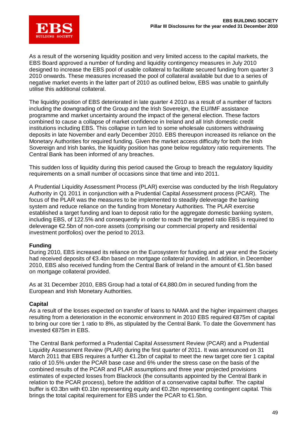

As a result of the worsening liquidity position and very limited access to the capital markets, the EBS Board approved a number of funding and liquidity contingency measures in July 2010 designed to increase the EBS pool of usable collateral to facilitate secured funding from quarter 3 2010 onwards. These measures increased the pool of collateral available but due to a series of negative market events in the latter part of 2010 as outlined below, EBS was unable to gainfully utilise this additional collateral.

The liquidity position of EBS deteriorated in late quarter 4 2010 as a result of a number of factors including the downgrading of the Group and the Irish Sovereign, the EU/IMF assistance programme and market uncertainty around the impact of the general election. These factors combined to cause a collapse of market confidence in Ireland and all Irish domestic credit institutions including EBS. This collapse in turn led to some wholesale customers withdrawing deposits in late November and early December 2010. EBS thereupon increased its reliance on the Monetary Authorities for required funding. Given the market access difficulty for both the Irish Sovereign and Irish banks, the liquidity position has gone below regulatory ratio requirements. The Central Bank has been informed of any breaches.

This sudden loss of liquidity during this period caused the Group to breach the regulatory liquidity requirements on a small number of occasions since that time and into 2011.

A Prudential Liquidity Assessment Process (PLAR) exercise was conducted by the Irish Regulatory Authority in Q1 2011 in conjunction with a Prudential Capital Assessment process (PCAR). The focus of the PLAR was the measures to be implemented to steadily deleverage the banking system and reduce reliance on the funding from Monetary Authorities. The PLAR exercise established a target funding and loan to deposit ratio for the aggregate domestic banking system, including EBS, of 122.5% and consequently in order to reach the targeted ratio EBS is required to deleverage €2.5bn of non-core assets (comprising our commercial property and residential investment portfolios) over the period to 2013.

#### **Funding**

During 2010, EBS increased its reliance on the Eurosystem for funding and at year end the Society had received deposits of €3.4bn based on mortgage collateral provided. In addition, in December 2010, EBS also received funding from the Central Bank of Ireland in the amount of €1.5bn based on mortgage collateral provided.

As at 31 December 2010, EBS Group had a total of €4,880.0m in secured funding from the European and Irish Monetary Authorities.

#### **Capital**

As a result of the losses expected on transfer of loans to NAMA and the higher impairment charges resulting from a deterioration in the economic environment in 2010 EBS required €875m of capital to bring our core tier 1 ratio to 8%, as stipulated by the Central Bank. To date the Government has invested €875m in EBS.

The Central Bank performed a Prudential Capital Assessment Review (PCAR) and a Prudential Liquidity Assessment Review (PLAR) during the first quarter of 2011. It was announced on 31 March 2011 that EBS requires a further €1.2bn of capital to meet the new target core tier 1 capital ratio of 10.5% under the PCAR base case and 6% under the stress case on the basis of the combined results of the PCAR and PLAR assumptions and three year projected provisions estimates of expected losses from Blackrock (the consultants appointed by the Central Bank in relation to the PCAR process), before the addition of a conservative capital buffer. The capital buffer is €0.3bn with €0.1bn representing equity and €0.2bn representing contingent capital. This brings the total capital requirement for EBS under the PCAR to €1.5bn.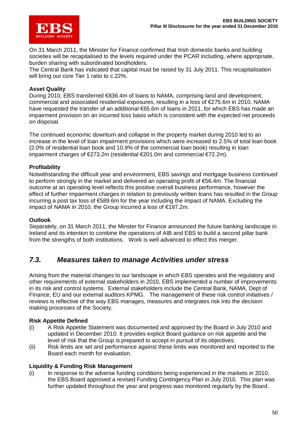

On 31 March 2011, the Minister for Finance confirmed that Irish domestic banks and building societies will be recapitalised to the levels required under the PCAR including, where appropriate, burden sharing with subordinated bondholders.

The Central Bank has indicated that capital must be raised by 31 July 2011. This recapitalisation will bring our core Tier 1 ratio to c.22%.

#### **Asset Quality**

During 2010, EBS transferred €836.4m of loans to NAMA, comprising land and development, commercial and associated residential exposures, resulting in a loss of €275.6m in 2010. NAMA have requested the transfer of an additional €65.6m of loans in 2011, for which EBS has made an impairment provision on an incurred loss basis which is consistent with the expected net proceeds on disposal.

The continued economic downturn and collapse in the property market during 2010 led to an increase in the level of loan impairment provisions which were increased to 2.5% of total loan book (2.0% of residential loan book and 10.9% of the commercial loan book) resulting in loan impairment charges of €273.2m (residential €201.0m and commercial €72.2m).

#### **Profitability**

Notwithstanding the difficult year and environment, EBS savings and mortgage business continued to perform strongly in the market and delivered an operating profit of  $\epsilon$ 56.4m. The financial outcome at an operating level reflects this positive overall business performance, however the effect of further impairment charges in relation to previously written loans has resulted in the Group incurring a post tax loss of €589.6m for the year including the impact of NAMA. Excluding the impact of NAMA in 2010, the Group incurred a loss of €197.2m.

#### **Outlook**

Separately, on 31 March 2011, the Minster for Finance announced the future banking landscape in Ireland and its intention to combine the operations of AIB and EBS to build a second pillar bank from the strengths of both institutions. Work is well advanced to effect this merger.

### *7.3. Measures taken to manage Activities under stress*

Arising from the material changes to our landscape in which EBS operates and the regulatory and other requirements of external stakeholders in 2010, EBS implemented a number of improvements in its risk and control systems. External stakeholders include the Central Bank, NAMA, Dept of Finance, EU and our external auditors KPMG. The management of these risk control initiatives / reviews is reflective of the way EBS manages, measures and integrates risk into the decision making processes of the Society.

#### **Risk Appetite Defined**

- (i) A Risk Appetite Statement was documented and approved by the Board in July 2010 and updated in December 2010. It provides explicit Board guidance on risk appetite and the level of risk that the Group is prepared to accept in pursuit of its objectives.
- (ii) Risk limits are set and performance against these limits was monitored and reported to the Board each month for evaluation.

#### **Liquidity & Funding Risk Management**

(i) In response to the adverse funding conditions being experienced in the markets in 2010, the EBS Board approved a revised Funding Contingency Plan in July 2010. This plan was further updated throughout the year and progress was monitored regularly by the Board.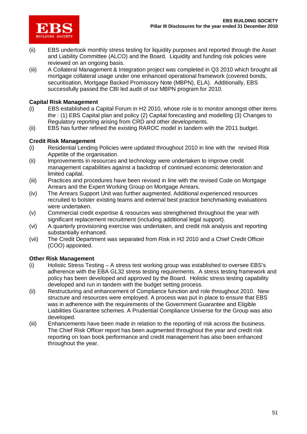

- (ii) EBS undertook monthly stress testing for liquidity purposes and reported through the Asset and Liability Committee (ALCO) and the Board. Liquidity and funding risk policies were reviewed on an ongoing basis.
- (iii) A Collateral Management & Integration project was completed in Q3 2010 which brought all mortgage collateral usage under one enhanced operational framework (covered bonds, securitisation, Mortgage Backed Promissory Note (MBPN), ELA). Additionally, EBS successfully passed the CBI led audit of our MBPN program for 2010.

#### **Capital Risk Management**

- (i) EBS established a Capital Forum in H2 2010, whose role is to monitor amongst other items the : (1) EBS Capital plan and policy (2) Capital forecasting and modelling (3) Changes to Regulatory reporting arising from CRD and other developments.
- (ii) EBS has further refined the existing RAROC model in tandem with the 2011 budget.

#### **Credit Risk Management**

- (i) Residential Lending Policies were updated throughout 2010 in line with the revised Risk Appetite of the organisation.
- (ii) Improvements in resources and technology were undertaken to improve credit management capabilities against a backdrop of continued economic deterioration and limited capital.
- (iii) Practices and procedures have been revised in line with the revised Code on Mortgage Arrears and the Expert Working Group on Mortgage Arrears.
- (iv) The Arrears Support Unit was further augmented. Additional experienced resources recruited to bolster existing teams and external best practice benchmarking evaluations were undertaken.
- (v) Commercial credit expertise & resources was strengthened throughout the year with significant replacement recruitment (including additional legal support).
- (vi) A quarterly provisioning exercise was undertaken, and credit risk analysis and reporting substantially enhanced.
- (vii) The Credit Department was separated from Risk in H2 2010 and a Chief Credit Officer (COO) appointed.

#### **Other Risk Management**

- (i) Holistic Stress Testing A stress test working group was established to oversee EBS's adherence with the EBA GL32 stress testing requirements. A stress testing framework and policy has been developed and approved by the Board. Holistic stress testing capability developed and run in tandem with the budget setting process.
- (ii) Restructuring and enhancement of Compliance function and role throughout 2010. New structure and resources were employed. A process was put in place to ensure that EBS was in adherence with the requirements of the Government Guarantee and Eligible Liabilities Guarantee schemes. A Prudential Compliance Universe for the Group was also developed.
- (iii) Enhancements have been made in relation to the reporting of risk across the business. The Chief Risk Officer report has been augmented throughout the year and credit risk reporting on loan book performance and credit management has also been enhanced throughout the year.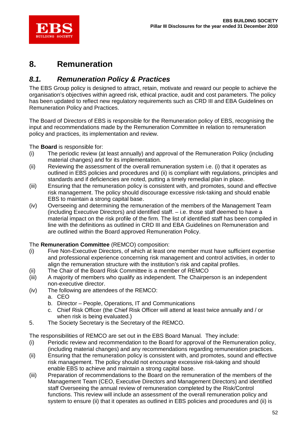

## **8. Remuneration**

### *8.1. Remuneration Policy & Practices*

The EBS Group policy is designed to attract, retain, motivate and reward our people to achieve the organisation's objectives within agreed risk, ethical practice, audit and cost parameters. The policy has been updated to reflect new regulatory requirements such as CRD III and EBA Guidelines on Remuneration Policy and Practices.

The Board of Directors of EBS is responsible for the Remuneration policy of EBS, recognising the input and recommendations made by the Remuneration Committee in relation to remuneration policy and practices, its implementation and review.

The **Board** is responsible for:

- (i) The periodic review (at least annually) and approval of the Remuneration Policy (including material changes) and for its implementation.
- (ii) Reviewing the assessment of the overall remuneration system i.e. (i) that it operates as outlined in EBS policies and procedures and (ii) is compliant with regulations, principles and standards and if deficiencies are noted, putting a timely remedial plan in place.
- (iii) Ensuring that the remuneration policy is consistent with, and promotes, sound and effective risk management. The policy should discourage excessive risk-taking and should enable EBS to maintain a strong capital base.
- (iv) Overseeing and determining the remuneration of the members of the Management Team (including Executive Directors) and identified staff. – i.e. those staff deemed to have a material impact on the risk profile of the firm. The list of identified staff has been compiled in line with the definitions as outlined in CRD III and EBA Guidelines on Remuneration and are outlined within the Board approved Remuneration Policy.

#### The **Remuneration Committee** (REMCO) composition:

- (i) Five Non-Executive Directors, of which at least one member must have sufficient expertise and professional experience concerning risk management and control activities, in order to align the remuneration structure with the institution's risk and capital profiles.
- (ii) The Chair of the Board Risk Committee is a member of REMCO
- (iii) A majority of members who qualify as independent. The Chairperson is an independent non-executive director.
- (iv) The following are attendees of the REMCO:
	- a. CEO
	- b. Director People, Operations, IT and Communications
	- c. Chief Risk Officer (the Chief Risk Officer will attend at least twice annually and / or when risk is being evaluated.)
- 5. The Society Secretary is the Secretary of the REMCO.

The responsibilities of REMCO are set out in the EBS Board Manual. They include:

- (i) Periodic review and recommendation to the Board for approval of the Remuneration policy, (including material changes) and any recommendations regarding remuneration practices.
- (ii) Ensuring that the remuneration policy is consistent with, and promotes, sound and effective risk management. The policy should not encourage excessive risk-taking and should enable EBS to achieve and maintain a strong capital base.
- (iii) Preparation of recommendations to the Board on the remuneration of the members of the Management Team (CEO, Executive Directors and Management Directors) and identified staff Overseeing the annual review of remuneration completed by the Risk/Control functions. This review will include an assessment of the overall remuneration policy and system to ensure (ii) that it operates as outlined in EBS policies and procedures and (ii) is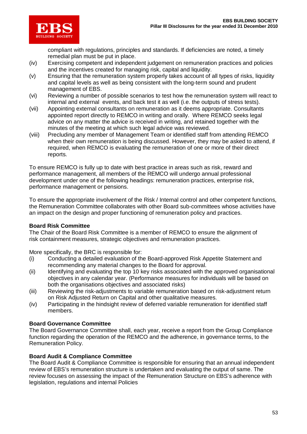

compliant with regulations, principles and standards. If deficiencies are noted, a timely remedial plan must be put in place.

- (iv) Exercising competent and independent judgement on remuneration practices and policies and the incentives created for managing risk, capital and liquidity.
- (v) Ensuring that the remuneration system properly takes account of all types of risks, liquidity and capital levels as well as being consistent with the long-term sound and prudent management of EBS.
- (vi) Reviewing a number of possible scenarios to test how the remuneration system will react to internal and external events, and back test it as well (i.e. the outputs of stress tests).
- (vii) Appointing external consultants on remuneration as it deems appropriate. Consultants appointed report directly to REMCO in writing and orally. Where REMCO seeks legal advice on any matter the advice is received in writing, and retained together with the minutes of the meeting at which such legal advice was reviewed.
- (viii) Precluding any member of Management Team or identified staff from attending REMCO when their own remuneration is being discussed. However, they may be asked to attend, if required, when REMCO is evaluating the remuneration of one or more of their direct reports.

To ensure REMCO is fully up to date with best practice in areas such as risk, reward and performance management, all members of the REMCO will undergo annual professional development under one of the following headings: remuneration practices, enterprise risk, performance management or pensions.

To ensure the appropriate involvement of the Risk / Internal control and other competent functions, the Remuneration Committee collaborates with other Board sub-committees whose activities have an impact on the design and proper functioning of remuneration policy and practices.

#### **Board Risk Committee**

The Chair of the Board Risk Committee is a member of REMCO to ensure the alignment of risk containment measures, strategic objectives and remuneration practices.

More specifically, the BRC is responsible for:

- (i) Conducting a detailed evaluation of the Board-approved Risk Appetite Statement and recommending any material changes to the Board for approval.
- (ii) Identifying and evaluating the top 10 key risks associated with the approved organisational objectives in any calendar year. (Performance measures for individuals will be based on both the organisations objectives and associated risks)
- (iii) Reviewing the risk-adjustments to variable remuneration based on risk-adjustment return on Risk Adjusted Return on Capital and other qualitative measures.
- (iv) Participating in the hindsight review of deferred variable remuneration for identified staff members.

#### **Board Governance Committee**

The Board Governance Committee shall, each year, receive a report from the Group Compliance function regarding the operation of the REMCO and the adherence, in governance terms, to the Remuneration Policy.

### **Board Audit & Compliance Committee**

The Board Audit & Compliance Committee is responsible for ensuring that an annual independent review of EBS's remuneration structure is undertaken and evaluating the output of same. The review focuses on assessing the impact of the Remuneration Structure on EBS's adherence with legislation, regulations and internal Policies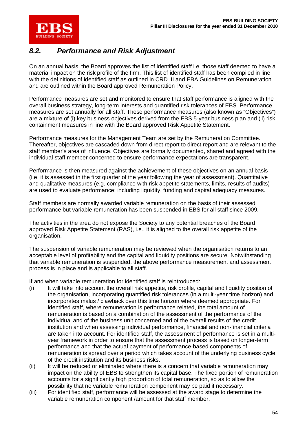

### *8.2. Performance and Risk Adjustment*

On an annual basis, the Board approves the list of identified staff i.e. those staff deemed to have a material impact on the risk profile of the firm. This list of identified staff has been compiled in line with the definitions of identified staff as outlined in CRD III and EBA Guidelines on Remuneration and are outlined within the Board approved Remuneration Policy.

Performance measures are set and monitored to ensure that staff performance is aligned with the overall business strategy, long-term interests and quantified risk tolerances of EBS. Performance measures are set annually for all staff. These performance measures (also known as "Objectives") are a mixture of (i) key business objectives derived from the EBS 5-year business plan and (ii) risk containment measures in line with the Board approved Risk Appetite Statement.

Performance measures for the Management Team are set by the Remuneration Committee. Thereafter, objectives are cascaded down from direct report to direct report and are relevant to the staff member's area of influence. Objectives are formally documented, shared and agreed with the individual staff member concerned to ensure performance expectations are transparent.

Performance is then measured against the achievement of these objectives on an annual basis (i.e. it is assessed in the first quarter of the year following the year of assessment). Quantitative and qualitative measures (e.g. compliance with risk appetite statements, limits, results of audits) are used to evaluate performance; including liquidity, funding and capital adequacy measures.

Staff members are normally awarded variable remuneration on the basis of their assessed performance but variable remuneration has been suspended in EBS for all staff since 2009.

The activities in the area do not expose the Society to any potential breaches of the Board approved Risk Appetite Statement (RAS), i.e., it is aligned to the overall risk appetite of the organisation.

The suspension of variable remuneration may be reviewed when the organisation returns to an acceptable level of profitability and the capital and liquidity positions are secure. Notwithstanding that variable remuneration is suspended, the above performance measurement and assessment process is in place and is applicable to all staff.

If and when variable remuneration for identified staff is reintroduced:

- (i) It will take into account the overall risk appetite, risk profile, capital and liquidity position of the organisation, incorporating quantified risk tolerances (in a multi-year time horizon) and incorporates malus / clawback over this time horizon where deemed appropriate. For identified staff, where remuneration is performance related, the total amount of remuneration is based on a combination of the assessment of the performance of the individual and of the business unit concerned and of the overall results of the credit institution and when assessing individual performance, financial and non-financial criteria are taken into account. For identified staff, the assessment of performance is set in a multiyear framework in order to ensure that the assessment process is based on longer-term performance and that the actual payment of performance-based components of remuneration is spread over a period which takes account of the underlying business cycle of the credit institution and its business risks.
- (ii) It will be reduced or eliminated where there is a concern that variable remuneration may impact on the ability of EBS to strengthen its capital base. The fixed portion of remuneration accounts for a significantly high proportion of total remuneration, so as to allow the possibility that no variable remuneration component may be paid if necessary.
- (iii) For identified staff, performance will be assessed at the award stage to determine the variable remuneration component /amount for that staff member.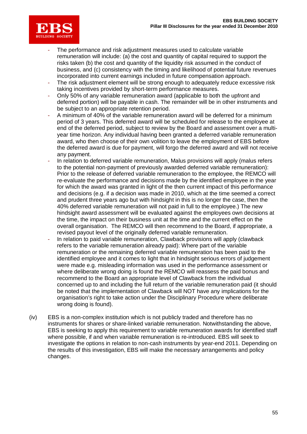

- The performance and risk adjustment measures used to calculate variable remuneration will include: (a) the cost and quantity of capital required to support the risks taken (b) the cost and quantity of the liquidity risk assumed in the conduct of business, and (c) consistency with the timing and likelihood of potential future revenues incorporated into current earnings included in future compensation approach.
- The risk adjustment element will be strong enough to adequately reduce excessive risk taking incentives provided by short-term performance measures.
- Only 50% of any variable remuneration award (applicable to both the upfront and deferred portion) will be payable in cash. The remainder will be in other instruments and be subject to an appropriate retention period.
- A minimum of 40% of the variable remuneration award will be deferred for a minimum period of 3 years. This deferred award will be scheduled for release to the employee at end of the deferred period, subject to review by the Board and assessment over a multiyear time horizon. Any individual having been granted a deferred variable remuneration award, who then choose of their own volition to leave the employment of EBS before the deferred award is due for payment, will forgo the deferred award and will not receive any payment.
- In relation to deferred variable remuneration, Malus provisions will apply (malus refers to the potential non-payment of previously awarded deferred variable remuneration): Prior to the release of deferred variable remuneration to the employee, the REMCO will re-evaluate the performance and decisions made by the identified employee in the year for which the award was granted in light of the then current impact of this performance and decisions (e.g. if a decision was made in 2010, which at the time seemed a correct and prudent three years ago but with hindsight in this is no longer the case, then the 40% deferred variable remuneration will not paid in full to the employee.) The new hindsight award assessment will be evaluated against the employees own decisions at the time, the impact on their business unit at the time and the current effect on the overall organisation. The REMCO will then recommend to the Board, if appropriate, a revised payout level of the originally deferred variable remuneration.
- In relation to paid variable remuneration, Clawback provisions will apply (clawback refers to the variable remuneration already paid): Where part of the variable remuneration or the remaining deferred variable remuneration has been paid to the identified employee and it comes to light that in hindsight serious errors of judgement were made e.g. misleading information was used in the performance assessment or where deliberate wrong doing is found the REMCO will reassess the paid bonus and recommend to the Board an appropriate level of Clawback from the individual concerned up to and including the full return of the variable remuneration paid (it should be noted that the implementation of Clawback will NOT have any implications for the organisation's right to take action under the Disciplinary Procedure where deliberate wrong doing is found).
- (iv) EBS is a non-complex institution which is not publicly traded and therefore has no instruments for shares or share-linked variable remuneration. Notwithstanding the above, EBS is seeking to apply this requirement to variable remuneration awards for identified staff where possible, if and when variable remuneration is re-introduced. EBS will seek to investigate the options in relation to non-cash instruments by year-end 2011. Depending on the results of this investigation, EBS will make the necessary arrangements and policy changes.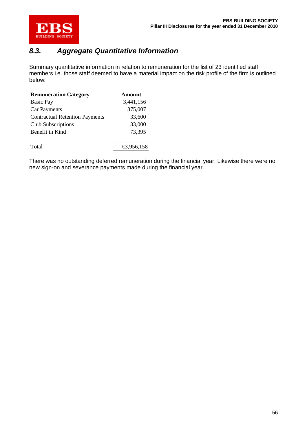

### *8.3. Aggregate Quantitative Information*

Summary quantitative information in relation to remuneration for the list of 23 identified staff members i.e. those staff deemed to have a material impact on the risk profile of the firm is outlined below:

| <b>Remuneration Category</b>          | <b>Amount</b> |
|---------------------------------------|---------------|
| <b>Basic Pay</b>                      | 3,441,156     |
| <b>Car Payments</b>                   | 375,007       |
| <b>Contractual Retention Payments</b> | 33,600        |
| <b>Club Subscriptions</b>             | 33,000        |
| Benefit in Kind                       | 73,395        |
|                                       |               |
| Total                                 | €3,956,158    |
|                                       |               |

There was no outstanding deferred remuneration during the financial year. Likewise there were no new sign-on and severance payments made during the financial year.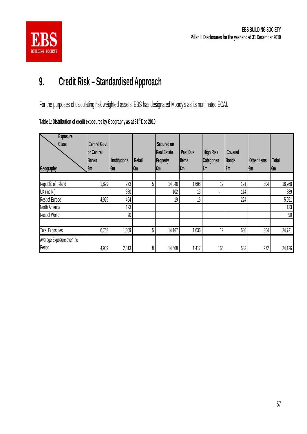

# **9. Credit Risk – Standardised Approach**

For the purposes of calculating risk weighted assets, EBS has designated Moody's as its nominated ECAI.

|  |  |  |  | Table 1: Distribution of credit exposures by Geography as at 31 <sup>st</sup> Dec 2010 |
|--|--|--|--|----------------------------------------------------------------------------------------|
|--|--|--|--|----------------------------------------------------------------------------------------|

| <b>Exposure</b><br><b>Class</b><br>Geography | <b>Central Govt</b><br>or Central<br><b>Banks</b><br>l€m | <b>Institutions</b><br>ktm | Retail<br>l€m | Secured on<br><b>Real Estate</b><br><b>Property</b><br>€m | Past Due<br><b>Items</b><br>l€m | <b>High Risk</b><br><b>Categories</b><br>k⊞ | Covered<br>Bonds<br>l€m | <b>Other Items</b><br>f€m | <b>Total</b><br>l€m |
|----------------------------------------------|----------------------------------------------------------|----------------------------|---------------|-----------------------------------------------------------|---------------------------------|---------------------------------------------|-------------------------|---------------------------|---------------------|
|                                              |                                                          |                            |               |                                                           |                                 |                                             |                         |                           |                     |
| Republic of Ireland                          | 1,829                                                    | 273                        | 5             | 14,046                                                    | 0,608                           | 12                                          | 191                     | 304                       | 18,268              |
| UK (inc NI)                                  |                                                          | 360                        |               | 102                                                       | 13                              |                                             | 114                     |                           | 589                 |
| Rest of Europe                               | 4,929                                                    | 464                        |               | 19                                                        | 16                              |                                             | 224                     |                           | 5,651               |
| North America                                |                                                          | 123                        |               |                                                           |                                 |                                             |                         |                           | 123                 |
| <b>Rest of World</b>                         |                                                          | 90                         |               |                                                           |                                 |                                             |                         |                           | $90\,$              |
| <b>Total Exposures</b>                       | 6,758                                                    | 1,309                      | 5             | 14,167                                                    | 1,636                           | 12                                          | 530                     | 304                       | 24,721              |
| Average Exposure over the<br>Period          | 4,909                                                    | 2,313                      | 8             | 14,508                                                    | 1,417                           | 165                                         | 533                     | 272                       | 24,126              |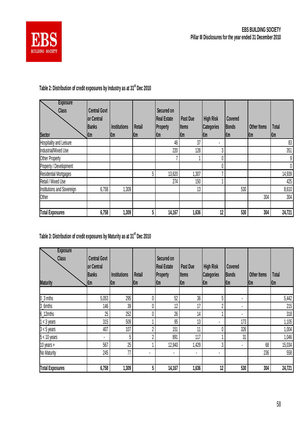

## **Table 2: Distribution of credit exposures by Industry as at 31st Dec 2010**

| <b>Exposure</b><br><b>Class</b> | <b>Central Govt</b> |                     |        | Secured on  |              |                   |              |                    |              |
|---------------------------------|---------------------|---------------------|--------|-------------|--------------|-------------------|--------------|--------------------|--------------|
|                                 | or Central          |                     |        | Real Estate | Past Due     | <b>High Risk</b>  | Covered      |                    |              |
|                                 | <b>Banks</b>        | <b>Institutions</b> | Retail | Property    | <b>Items</b> | <b>Categories</b> | <b>Bonds</b> | <b>Other Items</b> | <b>Total</b> |
| <b>Sector</b>                   | €m                  | ktm                 | l€m    | ftm         | l€m          | l€m               | €m           | ∥€m                | l€m          |
| Hospitality and Leisure         |                     |                     |        | 46          | 37           |                   |              |                    | 83           |
| Industrial/Mixed Use            |                     |                     |        | 220         | 128          | 3                 |              |                    | 351          |
| Other Property                  |                     |                     |        |             |              |                   |              |                    | 9            |
| Property / Development          |                     |                     |        |             |              | 0                 |              |                    | 0            |
| <b>Residential Mortgages</b>    |                     |                     |        | 13,620      | ,307         |                   |              |                    | 14,939       |
| Retail / Mixed Use              |                     |                     |        | 274         | 150          |                   |              |                    | 425          |
| Institutions and Sovereign      | 6,758               | 1,309               |        |             | 13           |                   | 530          |                    | 8,610        |
| Other                           |                     |                     |        |             |              |                   |              | 304                | 304          |
| <b>Total Exposures</b>          | 6,758               | 1,309               |        | 14,167      | 1,636        | 12                | 530          | 304                | 24,721       |

## **Table 3: Distribution of credit exposures by Maturity as at 31st Dec 2010**

| <b>Exposure</b><br><b>Class</b> | <b>Central Govt</b><br>or Central |              |                | Secured on<br><b>Real Estate</b> | Past Due     | <b>High Risk</b>  | Covered      |             |              |
|---------------------------------|-----------------------------------|--------------|----------------|----------------------------------|--------------|-------------------|--------------|-------------|--------------|
|                                 | <b>Banks</b>                      | Institutions | Retail         | <b>Property</b>                  | <b>Items</b> | <b>Categories</b> | <b>Bonds</b> | Other Items | <b>Total</b> |
| <b>Maturity</b>                 | fm                                | k⊞           | l€m            | l€m                              | l€m          | ∣€m               | fm           | l€m         | l€m          |
|                                 |                                   |              |                |                                  |              |                   |              |             |              |
| $0_3$ mths                      | 5,053                             | 295          |                | 52                               | 36           | 5                 |              |             | 5,442        |
| 3_6mths                         | 146                               | 39           |                | 12                               | 17           | ŋ                 | ٠            |             | 215          |
| $6_12$ mths                     | 25                                | 252          |                | 26                               | 14           |                   |              |             | 318          |
| $1 < 3$ years                   | 315                               | 509          |                | 95                               | 13           |                   | 173          |             | 1,105        |
| $3 < 5$ years                   | 407                               | 107          | η              | 151                              | 11           |                   | 326          |             | 1,004        |
| $5 < 10$ years                  | $\blacksquare$                    | 5            | η              | 891                              | 117          |                   | 31           |             | 1,046        |
| 10 years $+$                    | 567                               | 25           |                | 12,940                           | 1,429        | 3                 |              | 68          | 15,034       |
| No Maturity                     | 245                               | 77           | $\blacksquare$ | ٠                                | ٠            | ٠                 |              | 236         | 558          |
| <b>Total Exposures</b>          | 6,758                             | 1,309        | 5              | 14,167                           | 1,636        | 12                | 530          | 304         | 24,721       |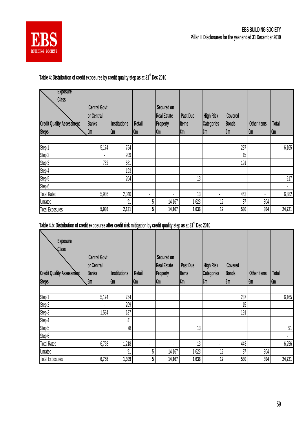

### **Table 4: Distribution of credit exposures by credit quality step as at 31st Dec 2010**

| <b>Exposure</b><br><b>Class</b><br><b>Credit Quality Assessment</b><br><b>Steps</b> | <b>Central Govt</b><br>or Central<br><b>Banks</b><br>l€m | <b>Institutions</b><br>∣€m | Retail<br>l€m  | Secured on<br><b>Real Estate</b><br>Property<br>l€m | Past Due<br><b>Items</b><br>f€m | <b>High Risk</b><br><b>Categories</b><br>k⊞ | Covered<br><b>Bonds</b><br>$\mathbf{m}$ | Other Items<br>ktm | <b>Total</b><br>l€m |
|-------------------------------------------------------------------------------------|----------------------------------------------------------|----------------------------|----------------|-----------------------------------------------------|---------------------------------|---------------------------------------------|-----------------------------------------|--------------------|---------------------|
|                                                                                     |                                                          |                            |                |                                                     |                                 |                                             |                                         |                    |                     |
| Step 1                                                                              | 5,174                                                    | 754                        |                |                                                     |                                 |                                             | 237                                     |                    | 6,165               |
| Step 2                                                                              |                                                          | 209                        |                |                                                     |                                 |                                             | 15                                      |                    |                     |
| Step 3                                                                              | 762                                                      | 681                        |                |                                                     |                                 |                                             | 191                                     |                    |                     |
| Step 4                                                                              |                                                          | 193                        |                |                                                     |                                 |                                             |                                         |                    |                     |
| Step 5                                                                              |                                                          | 204                        |                |                                                     | 13 <sub>1</sub>                 |                                             |                                         |                    | 217                 |
| Step 6                                                                              |                                                          |                            |                |                                                     |                                 |                                             |                                         |                    |                     |
| <b>Total Rated</b>                                                                  | 5,936                                                    | 2,040                      | $\blacksquare$ | $\cdot$                                             | 13                              | ٠                                           | 443                                     | ٠                  | 6,382               |
| <b>Unrated</b>                                                                      |                                                          | 91                         | 5              | 14,167                                              | 1,623                           | 12                                          | 87                                      | 304                |                     |
| <b>Total Exposures</b>                                                              | 5,936                                                    | 2,131                      | 5              | 14,167                                              | 1,636                           | 12                                          | 530                                     | 304                | 24,721              |

## **Table 4.b: Distribution of credit exposures after credit risk mitigation by credit quality step as at 31st Dec 2010**

| <b>Exposure</b><br>Class<br><b>Credit Quality Assessment</b><br><b>Steps</b> | <b>Central Govt</b><br>or Central<br><b>Banks</b><br>Į€m | Institutions<br>l€m | Retail<br>l€m  | Secured on<br><b>Real Estate</b><br><b>Property</b><br>l€m | Past Due<br><b>Items</b><br>l€m | <b>High Risk</b><br><b>Categories</b><br>k⊞ | Covered<br><b>Bonds</b><br>fm | <b>Other Items</b><br>€m | <b>Total</b><br>l€m |
|------------------------------------------------------------------------------|----------------------------------------------------------|---------------------|----------------|------------------------------------------------------------|---------------------------------|---------------------------------------------|-------------------------------|--------------------------|---------------------|
|                                                                              |                                                          |                     |                |                                                            |                                 |                                             |                               |                          |                     |
| Step 1                                                                       | 5,174                                                    | 754                 |                |                                                            |                                 |                                             | 237                           |                          | 6,165               |
| Step 2                                                                       | ٠                                                        | 209                 |                |                                                            |                                 |                                             | 15                            |                          |                     |
| Step 3                                                                       | 1,584                                                    | 137                 |                |                                                            |                                 |                                             | 191                           |                          |                     |
| Step 4                                                                       |                                                          | 41                  |                |                                                            |                                 |                                             |                               |                          |                     |
| Step 5                                                                       |                                                          | 78                  |                |                                                            | 13                              |                                             |                               |                          | 91                  |
| Step 6                                                                       |                                                          |                     |                |                                                            |                                 |                                             |                               |                          | ٠                   |
| <b>Total Rated</b>                                                           | 6,758                                                    | 1,218               | $\blacksquare$ |                                                            | 13                              | ٠                                           | 443                           | ٠                        | 6,256               |
| <b>Unrated</b>                                                               |                                                          | 91                  | 5              | 14,167                                                     | 1,623                           | 12                                          | 87                            | 304                      |                     |
| <b>Total Exposures</b>                                                       | 6,758                                                    | 1,309               | 5              | 14,167                                                     | 1,636                           | 12                                          | 530                           | 304                      | 24,721              |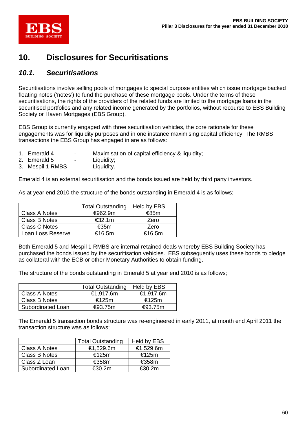

## **10. Disclosures for Securitisations**

### *10.1. Securitisations*

Securitisations involve selling pools of mortgages to special purpose entities which issue mortgage backed floating notes ('notes') to fund the purchase of these mortgage pools. Under the terms of these securitisations, the rights of the providers of the related funds are limited to the mortgage loans in the securitised portfolios and any related income generated by the portfolios, without recourse to EBS Building Society or Haven Mortgages (EBS Group).

EBS Group is currently engaged with three securitisation vehicles, the core rationale for these engagements was for liquidity purposes and in one instance maximising capital efficiency. The RMBS transactions the EBS Group has engaged in are as follows:

- 1. Emerald 4 Maximisation of capital efficiency & liquidity;
- 2. Emerald 5 Liquidity;
- 3. Mespil 1 RMBS Liquidity.

Emerald 4 is an external securitisation and the bonds issued are held by third party investors.

As at year end 2010 the structure of the bonds outstanding in Emerald 4 is as follows;

|                      | <b>Total Outstanding</b> | Held by EBS |
|----------------------|--------------------------|-------------|
| <b>Class A Notes</b> | $\epsilon$ 962.9m        | €85m        |
| Class B Notes        | €32.1m                   | Zero        |
| <b>Class C Notes</b> | €35m                     | Zero        |
| Loan Loss Reserve    | €16.5m                   | €16.5m      |

Both Emerald 5 and Mespil 1 RMBS are internal retained deals whereby EBS Building Society has purchased the bonds issued by the securitisation vehicles. EBS subsequently uses these bonds to pledge as collateral with the ECB or other Monetary Authorities to obtain funding.

The structure of the bonds outstanding in Emerald 5 at year end 2010 is as follows;

|                   | Total Outstanding   Held by EBS |                   |
|-------------------|---------------------------------|-------------------|
| Class A Notes     | €1,917.6m                       | €1,917.6m         |
| Class B Notes     | €125m                           | €125m             |
| Subordinated Loan | $\epsilon$ 93.75m               | $\epsilon$ 93.75m |

The Emerald 5 transaction bonds structure was re-engineered in early 2011, at month end April 2011 the transaction structure was as follows;

|                      | <b>Total Outstanding</b> | Held by EBS      |
|----------------------|--------------------------|------------------|
| <b>Class A Notes</b> | €1,529.6m                | €1,529.6m        |
| Class B Notes        | €125m                    | €125m            |
| Class Z Loan         | €358m                    | €358m            |
| Subordinated Loan    | €30.2m                   | $\epsilon$ 30.2m |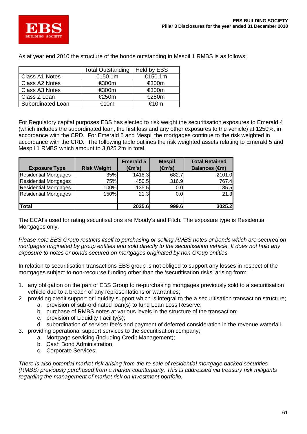

As at year end 2010 the structure of the bonds outstanding in Mespil 1 RMBS is as follows;

|                   | <b>Total Outstanding</b> | Held by EBS |
|-------------------|--------------------------|-------------|
| Class A1 Notes    | €150.1m                  | €150.1m     |
| Class A2 Notes    | €300m                    | €300m       |
| Class A3 Notes    | €300m                    | €300m       |
| Class Z Loan      | €250m                    | €250m       |
| Subordinated Loan | €10m                     | ∈10m        |

For Regulatory capital purposes EBS has elected to risk weight the securitisation exposures to Emerald 4 (which includes the subordinated loan, the first loss and any other exposures to the vehicle) at 1250%, in accordance with the CRD. For Emerald 5 and Mespil the mortgages continue to the risk weighted in accordance with the CRD. The following table outlines the risk weighted assets relating to Emerald 5 and Mespil 1 RMBS which amount to 3,025.2m in total.

| <b>Exposure Type</b>         | <b>Risk Weight</b> | <b>Emerald 5</b><br>(m's) | <b>Mespil</b><br>(m's) | <b>Total Retained</b><br><b>Balances (€m)</b> |
|------------------------------|--------------------|---------------------------|------------------------|-----------------------------------------------|
| <b>Residential Mortgages</b> | 35%                | 1418.3                    | 682.7                  | 2101.0                                        |
| <b>Residential Mortgages</b> | 75%                | 450.5                     | 316.9                  | 767.4                                         |
| <b>Residential Mortgages</b> | 100%               | 135.5                     | 0.0                    | 135.5                                         |
| <b>Residential Mortgages</b> | 150%               | 21.3                      | 0.0                    | 21.3                                          |
|                              |                    |                           |                        |                                               |
| Total                        |                    | 2025.6                    | 999.6                  | 3025.2                                        |

The ECAI's used for rating securitisations are Moody's and Fitch. The exposure type is Residential Mortgages only.

*Please note EBS Group restricts itself to purchasing or selling RMBS notes or bonds which are secured on mortgages originated by group entities and sold directly to the securitisation vehicle. It does not hold any exposure to notes or bonds secured on mortgages originated by non Group entities.* 

In relation to securitisation transactions EBS group is not obliged to support any losses in respect of the mortgages subject to non-recourse funding other than the 'securitisation risks' arising from:

- 1. any obligation on the part of EBS Group to re-purchasing mortgages previously sold to a securitisation vehicle due to a breach of any representations or warranties;
- 2. providing credit support or liquidity support which is integral to the a securitisation transaction structure;
	- a. provision of sub-ordinated loan(s) to fund Loan Loss Reserve;
	- b. purchase of RMBS notes at various levels in the structure of the transaction;
	- c. provision of Liquidity Facility(s);
- d. subordination of servicer fee's and payment of deferred consideration in the revenue waterfall. 3. providing operational support services to the securitisation company;
	- a. Mortgage servicing (including Credit Management);
	- b. Cash Bond Administration;
	- c. Corporate Services;

*There is also potential market risk arising from the re-sale of residential mortgage backed securities (RMBS) previously purchased from a market counterparty. This is addressed via treasury risk mitigants regarding the management of market risk on investment portfolio.*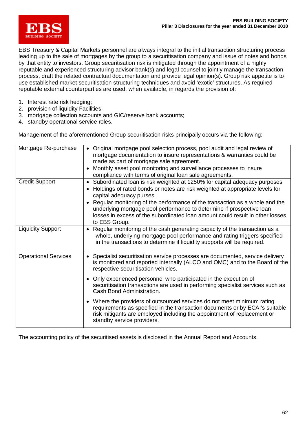

EBS Treasury & Capital Markets personnel are always integral to the initial transaction structuring process leading up to the sale of mortgages by the group to a securitisation company and issue of notes and bonds by that entity to investors. Group securitisation risk is mitigated through the appointment of a highly reputable and experienced structuring advisor bank(s) and legal counsel to jointly manage the transaction process, draft the related contractual documentation and provide legal opinion(s). Group risk appetite is to use established market securitisation structuring techniques and avoid 'exotic' structures. As required reputable external counterparties are used, when available, in regards the provision of:

- 1. Interest rate risk hedging;
- 2. provision of liquidity Facilities;
- 3. mortgage collection accounts and GIC/reserve bank accounts;
- 4. standby operational service roles.

Management of the aforementioned Group securitisation risks principally occurs via the following:

| Mortgage Re-purchase        | Original mortgage pool selection process, pool audit and legal review of<br>mortgage documentation to insure representations & warranties could be<br>made as part of mortgage sale agreement.<br>Monthly asset pool monitoring and surveillance processes to insure<br>$\bullet$<br>compliance with terms of original loan sale agreements.                                                                                                                 |
|-----------------------------|--------------------------------------------------------------------------------------------------------------------------------------------------------------------------------------------------------------------------------------------------------------------------------------------------------------------------------------------------------------------------------------------------------------------------------------------------------------|
| <b>Credit Support</b>       | Subordinated loan is risk weighted at 1250% for capital adequacy purposes<br>Holdings of rated bonds or notes are risk weighted at appropriate levels for<br>$\bullet$<br>capital adequacy purses.<br>Regular monitoring of the performance of the transaction as a whole and the<br>underlying mortgage pool performance to determine if prospective loan<br>losses in excess of the subordinated loan amount could result in other losses<br>to EBS Group. |
| <b>Liquidity Support</b>    | Regular monitoring of the cash generating capacity of the transaction as a<br>$\bullet$<br>whole, underlying mortgage pool performance and rating triggers specified<br>in the transactions to determine if liquidity supports will be required.                                                                                                                                                                                                             |
| <b>Operational Services</b> | Specialist securitisation service processes are documented, service delivery<br>$\bullet$<br>is monitored and reported internally (ALCO and OMC) and to the Board of the<br>respective securitisation vehicles.                                                                                                                                                                                                                                              |
|                             | Only experienced personnel who participated in the execution of<br>$\bullet$<br>securitisation transactions are used in performing specialist services such as<br>Cash Bond Administration.                                                                                                                                                                                                                                                                  |
|                             | Where the providers of outsourced services do not meet minimum rating<br>$\bullet$<br>requirements as specified in the transaction documents or by ECAI's suitable<br>risk mitigants are employed including the appointment of replacement or<br>standby service providers.                                                                                                                                                                                  |

The accounting policy of the securitised assets is disclosed in the Annual Report and Accounts.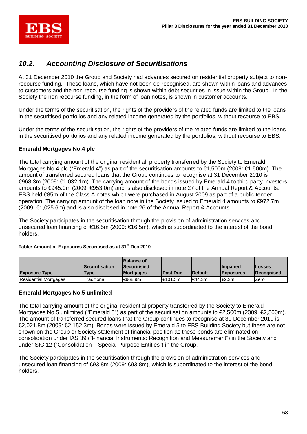

### *10.2. Accounting Disclosure of Securitisations*

At 31 December 2010 the Group and Society had advances secured on residential property subject to nonrecourse funding. These loans, which have not been de-recognised, are shown within loans and advances to customers and the non-recourse funding is shown within debt securities in issue within the Group. In the Society the non recourse funding, in the form of loan notes, is shown in customer accounts.

Under the terms of the securitisation, the rights of the providers of the related funds are limited to the loans in the securitised portfolios and any related income generated by the portfolios, without recourse to EBS.

Under the terms of the securitisation, the rights of the providers of the related funds are limited to the loans in the securitised portfolios and any related income generated by the portfolios, without recourse to EBS.

#### **Emerald Mortgages No.4 plc**

The total carrying amount of the original residential property transferred by the Society to Emerald Mortgages No.4 plc ("Emerald 4") as part of the securitisation amounts to €1,500m (2009: €1,500m). The amount of transferred secured loans that the Group continues to recognise at 31 December 2010 is €968.3m (2009: €1,032.1m). The carrying amount of the bonds issued by Emerald 4 to third party investors amounts to €945.0m (2009: €953.0m) and is also disclosed in note 27 of the Annual Report & Accounts. EBS held €85m of the Class A notes which were purchased in August 2009 as part of a public tender operation. The carrying amount of the loan note in the Society issued to Emerald 4 amounts to €972.7m (2009: €1,025.6m) and is also disclosed in note 26 of the Annual Report & Accounts

. The Society participates in the securitisation through the provision of administration services and unsecured loan financing of €16.5m (2009: €16.5m), which is subordinated to the interest of the bond holders.

#### **Table: Amount of Exposures Securitised as at 31st Dec 2010**

| <b>Exposure Type</b>         | <b>ISecuritisation</b><br><b>Type</b> | <b>Balance of</b><br><b>Securitisied</b><br><b>Mortgages</b> | <b>IPast Due</b>    | <b>IDefault</b> | <b>Ilmpaired</b><br><b>IExposures</b> | <b>ILosses</b><br><b>IRecognised</b> |
|------------------------------|---------------------------------------|--------------------------------------------------------------|---------------------|-----------------|---------------------------------------|--------------------------------------|
| <b>Residential Mortgages</b> | Traditional                           | <del>€</del> 968.9m                                          | <del>€</del> 101.5m | <b>E44.3m</b>   | l€2.2m                                | Zero                                 |

#### **Emerald Mortgages No.5 unlimited**

The total carrying amount of the original residential property transferred by the Society to Emerald Mortgages No.5 unlimited ("Emerald 5") as part of the securitisation amounts to €2,500m (2009: €2,500m). The amount of transferred secured loans that the Group continues to recognise at 31 December 2010 is €2,021.8m (2009: €2,152.3m). Bonds were issued by Emerald 5 to EBS Building Society but these are not shown on the Group or Society statement of financial position as these bonds are eliminated on consolidation under IAS 39 ("Financial Instruments: Recognition and Measurement") in the Society and under SIC 12 ("Consolidation – Special Purpose Entities") in the Group.

The Society participates in the securitisation through the provision of administration services and unsecured loan financing of €93.8m (2009: €93.8m), which is subordinated to the interest of the bond holders.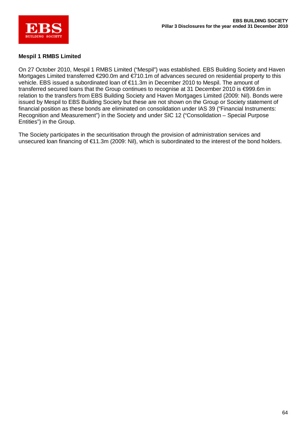

### **Mespil 1 RMBS Limited**

On 27 October 2010, Mespil 1 RMBS Limited ("Mespil") was established. EBS Building Society and Haven Mortgages Limited transferred €290.0m and €710.1m of advances secured on residential property to this vehicle. EBS issued a subordinated loan of €11.3m in December 2010 to Mespil. The amount of transferred secured loans that the Group continues to recognise at 31 December 2010 is €999.6m in relation to the transfers from EBS Building Society and Haven Mortgages Limited (2009: Nil). Bonds were issued by Mespil to EBS Building Society but these are not shown on the Group or Society statement of financial position as these bonds are eliminated on consolidation under IAS 39 ("Financial Instruments: Recognition and Measurement") in the Society and under SIC 12 ("Consolidation – Special Purpose Entities") in the Group.

The Society participates in the securitisation through the provision of administration services and unsecured loan financing of €11.3m (2009: Nil), which is subordinated to the interest of the bond holders.